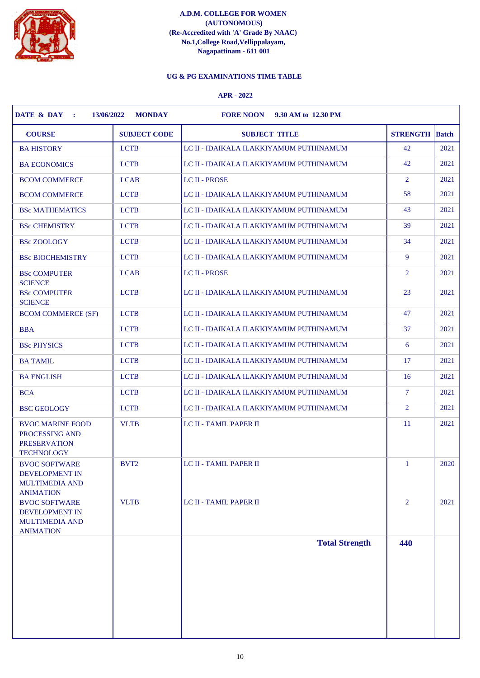

# **UG & PG EXAMINATIONS TIME TABLE**

| <b>COURSE</b>                                                                              | <b>SUBJECT CODE</b> | <b>SUBJECT TITLE</b>                    | <b>STRENGTH</b> | <b>Batch</b> |
|--------------------------------------------------------------------------------------------|---------------------|-----------------------------------------|-----------------|--------------|
| <b>BA HISTORY</b>                                                                          | <b>LCTB</b>         | LC II - IDAIKALA ILAKKIYAMUM PUTHINAMUM | 42              | 2021         |
| <b>BA ECONOMICS</b>                                                                        | <b>LCTB</b>         | LC II - IDAIKALA ILAKKIYAMUM PUTHINAMUM | 42              | 2021         |
| <b>BCOM COMMERCE</b>                                                                       | <b>LCAB</b>         | <b>LC II - PROSE</b>                    | 2               | 2021         |
| <b>BCOM COMMERCE</b>                                                                       | <b>LCTB</b>         | LC II - IDAIKALA ILAKKIYAMUM PUTHINAMUM | 58              | 2021         |
| <b>BSc MATHEMATICS</b>                                                                     | <b>LCTB</b>         | LC II - IDAIKALA ILAKKIYAMUM PUTHINAMUM | 43              | 2021         |
| <b>BSc CHEMISTRY</b>                                                                       | <b>LCTB</b>         | LC II - IDAIKALA ILAKKIYAMUM PUTHINAMUM | 39              | 2021         |
| <b>BSc ZOOLOGY</b>                                                                         | <b>LCTB</b>         | LC II - IDAIKALA ILAKKIYAMUM PUTHINAMUM | 34              | 2021         |
| <b>BSc BIOCHEMISTRY</b>                                                                    | <b>LCTB</b>         | LC II - IDAIKALA ILAKKIYAMUM PUTHINAMUM | 9               | 2021         |
| <b>BSc COMPUTER</b><br><b>SCIENCE</b>                                                      | <b>LCAB</b>         | <b>LC II - PROSE</b>                    | 2               | 2021         |
| <b>BSc COMPUTER</b><br><b>SCIENCE</b>                                                      | <b>LCTB</b>         | LC II - IDAIKALA ILAKKIYAMUM PUTHINAMUM | 23              | 2021         |
| <b>BCOM COMMERCE (SF)</b>                                                                  | <b>LCTB</b>         | LC II - IDAIKALA ILAKKIYAMUM PUTHINAMUM | 47              | 2021         |
| <b>BBA</b>                                                                                 | <b>LCTB</b>         | LC II - IDAIKALA ILAKKIYAMUM PUTHINAMUM | 37              | 2021         |
| <b>BSc PHYSICS</b>                                                                         | <b>LCTB</b>         | LC II - IDAIKALA ILAKKIYAMUM PUTHINAMUM | 6               | 2021         |
| <b>BA TAMIL</b>                                                                            | <b>LCTB</b>         | LC II - IDAIKALA ILAKKIYAMUM PUTHINAMUM | 17              | 2021         |
| <b>BA ENGLISH</b>                                                                          | <b>LCTB</b>         | LC II - IDAIKALA ILAKKIYAMUM PUTHINAMUM | 16              | 2021         |
|                                                                                            | <b>LCTB</b>         | LC II - IDAIKALA ILAKKIYAMUM PUTHINAMUM | $\tau$          | 2021         |
| <b>BSC GEOLOGY</b>                                                                         | <b>LCTB</b>         | LC II - IDAIKALA ILAKKIYAMUM PUTHINAMUM | 2               | 2021         |
| <b>BVOC MARINE FOOD</b><br>PROCESSING AND<br><b>PRESERVATION</b><br><b>TECHNOLOGY</b>      | <b>VLTB</b>         | LC II - TAMIL PAPER II                  | <sup>11</sup>   | 2021         |
| <b>BVOC SOFTWARE</b><br>DEVELOPMENT IN<br><b>MULTIMEDIA AND</b><br><b>ANIMATION</b>        | BVT <sub>2</sub>    | LC II - TAMIL PAPER II                  | $\mathbf{1}$    | 2020         |
| <b>BVOC SOFTWARE</b><br><b>DEVELOPMENT IN</b><br><b>MULTIMEDIA AND</b><br><b>ANIMATION</b> | <b>VLTB</b>         | LC II - TAMIL PAPER II                  | $\overline{2}$  | 2021         |
|                                                                                            |                     | <b>Total Strength</b>                   | 440             |              |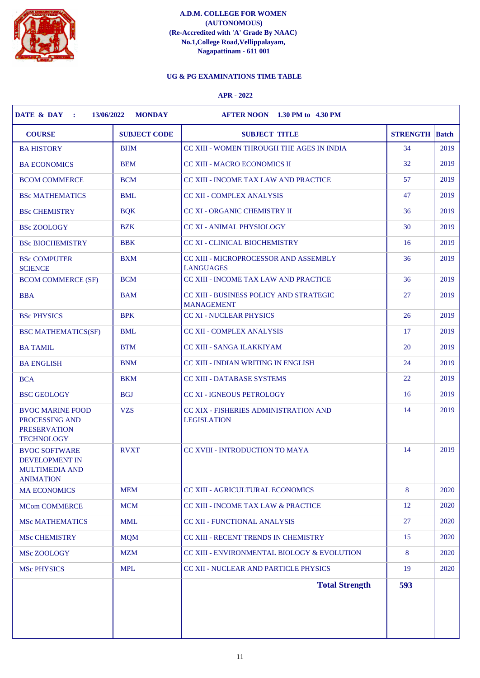

# **UG & PG EXAMINATIONS TIME TABLE**

| <b>COURSE</b>                                                                              | <b>SUBJECT CODE</b> | <b>SUBJECT TITLE</b>                                         | <b>STRENGTH</b> | <b>Batch</b> |
|--------------------------------------------------------------------------------------------|---------------------|--------------------------------------------------------------|-----------------|--------------|
| <b>BA HISTORY</b>                                                                          | <b>BHM</b>          | CC XIII - WOMEN THROUGH THE AGES IN INDIA                    | 34              | 2019         |
| <b>BA ECONOMICS</b>                                                                        | <b>BEM</b>          | <b>CC XIII - MACRO ECONOMICS II</b>                          | 32              | 2019         |
| <b>BCOM COMMERCE</b>                                                                       | <b>BCM</b>          | CC XIII - INCOME TAX LAW AND PRACTICE                        | 57              | 2019         |
| <b>BSc MATHEMATICS</b>                                                                     | <b>BML</b>          | <b>CC XII - COMPLEX ANALYSIS</b>                             | 47              | 2019         |
| <b>BSc CHEMISTRY</b>                                                                       | <b>BQK</b>          | <b>CC XI - ORGANIC CHEMISTRY II</b>                          | 36              | 2019         |
| <b>BSc ZOOLOGY</b>                                                                         | <b>BZK</b>          | <b>CC XI - ANIMAL PHYSIOLOGY</b>                             | 30              | 2019         |
| <b>BSc BIOCHEMISTRY</b>                                                                    | <b>BBK</b>          | <b>CC XI - CLINICAL BIOCHEMISTRY</b>                         | 16              | 2019         |
| <b>BSc COMPUTER</b><br><b>SCIENCE</b>                                                      | <b>BXM</b>          | CC XIII - MICROPROCESSOR AND ASSEMBLY<br><b>LANGUAGES</b>    | 36              | 2019         |
| <b>BCOM COMMERCE (SF)</b>                                                                  | <b>BCM</b>          | <b>CC XIII - INCOME TAX LAW AND PRACTICE</b>                 | 36              | 2019         |
| <b>BBA</b>                                                                                 | <b>BAM</b>          | CC XIII - BUSINESS POLICY AND STRATEGIC<br><b>MANAGEMENT</b> | 27              | 2019         |
| <b>BSc PHYSICS</b>                                                                         | <b>BPK</b>          | <b>CC XI - NUCLEAR PHYSICS</b>                               | 26              | 2019         |
| <b>BSC MATHEMATICS(SF)</b>                                                                 | <b>BML</b>          | <b>CC XII - COMPLEX ANALYSIS</b>                             | 17              | 2019         |
| <b>BA TAMIL</b>                                                                            | <b>BTM</b>          | <b>CC XIII - SANGA ILAKKIYAM</b>                             | 20              | 2019         |
| <b>BA ENGLISH</b>                                                                          | <b>BNM</b>          | CC XIII - INDIAN WRITING IN ENGLISH                          | 24              | 2019         |
| <b>BCA</b>                                                                                 | <b>BKM</b>          | <b>CC XIII - DATABASE SYSTEMS</b>                            | 22              | 2019         |
| <b>BSC GEOLOGY</b>                                                                         | <b>BGJ</b>          | <b>CC XI - IGNEOUS PETROLOGY</b>                             | 16              | 2019         |
| <b>BVOC MARINE FOOD</b><br>PROCESSING AND<br><b>PRESERVATION</b><br><b>TECHNOLOGY</b>      | <b>VZS</b>          | CC XIX - FISHERIES ADMINISTRATION AND<br><b>LEGISLATION</b>  | 14              | 2019         |
| <b>BVOC SOFTWARE</b><br><b>DEVELOPMENT IN</b><br><b>MULTIMEDIA AND</b><br><b>ANIMATION</b> | <b>RVXT</b>         | <b>CC XVIII - INTRODUCTION TO MAYA</b>                       | 14              | 2019         |
| <b>MA ECONOMICS</b>                                                                        | <b>MEM</b>          | <b>CC XIII - AGRICULTURAL ECONOMICS</b>                      | 8               | 2020         |
| <b>MCom COMMERCE</b>                                                                       | <b>MCM</b>          | CC XIII - INCOME TAX LAW & PRACTICE                          | 12              | 2020         |
| <b>MSc MATHEMATICS</b>                                                                     | <b>MML</b>          | <b>CC XII - FUNCTIONAL ANALYSIS</b>                          | 27              | 2020         |
| <b>MSc CHEMISTRY</b>                                                                       | <b>MQM</b>          | <b>CC XIII - RECENT TRENDS IN CHEMISTRY</b>                  | 15              | 2020         |
| MSc ZOOLOGY                                                                                | <b>MZM</b>          | CC XIII - ENVIRONMENTAL BIOLOGY & EVOLUTION                  | 8               | 2020         |
| <b>MSc PHYSICS</b>                                                                         | <b>MPL</b>          | CC XII - NUCLEAR AND PARTICLE PHYSICS                        | 19              | 2020         |
|                                                                                            |                     | <b>Total Strength</b>                                        | 593             |              |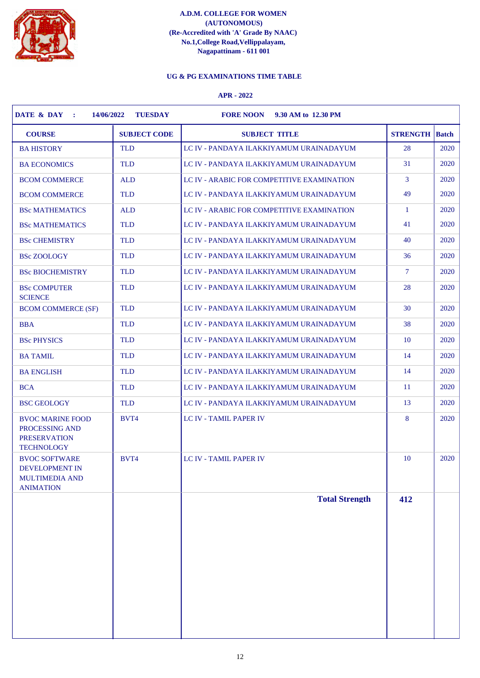

# **UG & PG EXAMINATIONS TIME TABLE**

| <b>COURSE</b>                                                                              | <b>SUBJECT CODE</b> | <b>SUBJECT TITLE</b>                       | <b>STRENGTH</b> | <b>Batch</b> |
|--------------------------------------------------------------------------------------------|---------------------|--------------------------------------------|-----------------|--------------|
| <b>BA HISTORY</b>                                                                          | <b>TLD</b>          | LC IV - PANDAYA ILAKKIYAMUM URAINADAYUM    | 28              | 2020         |
| <b>BA ECONOMICS</b>                                                                        | <b>TLD</b>          | LC IV - PANDAYA ILAKKIYAMUM URAINADAYUM    | 31              | 2020         |
| <b>BCOM COMMERCE</b>                                                                       | <b>ALD</b>          | LC IV - ARABIC FOR COMPETITIVE EXAMINATION | $\mathbf{3}$    | 2020         |
| <b>BCOM COMMERCE</b>                                                                       | <b>TLD</b>          | LC IV - PANDAYA ILAKKIYAMUM URAINADAYUM    | 49              | 2020         |
| <b>BSc MATHEMATICS</b>                                                                     | <b>ALD</b>          | LC IV - ARABIC FOR COMPETITIVE EXAMINATION | -1              | 2020         |
| <b>BSc MATHEMATICS</b>                                                                     | <b>TLD</b>          | LC IV - PANDAYA ILAKKIYAMUM URAINADAYUM    | 41              | 2020         |
| <b>BSc CHEMISTRY</b>                                                                       | <b>TLD</b>          | LC IV - PANDAYA ILAKKIYAMUM URAINADAYUM    | 40              | 2020         |
| <b>BSc ZOOLOGY</b>                                                                         | <b>TLD</b>          | LC IV - PANDAYA ILAKKIYAMUM URAINADAYUM    | 36              | 2020         |
| <b>BSc BIOCHEMISTRY</b>                                                                    | <b>TLD</b>          | LC IV - PANDAYA ILAKKIYAMUM URAINADAYUM    | $\overline{7}$  | 2020         |
| <b>BSc COMPUTER</b><br><b>SCIENCE</b>                                                      | <b>TLD</b>          | LC IV - PANDAYA ILAKKIYAMUM URAINADAYUM    | 28              | 2020         |
| <b>BCOM COMMERCE (SF)</b>                                                                  | <b>TLD</b>          | LC IV - PANDAYA ILAKKIYAMUM URAINADAYUM    | 30              | 2020         |
| <b>BBA</b>                                                                                 | <b>TLD</b>          | LC IV - PANDAYA ILAKKIYAMUM URAINADAYUM    | 38              | 2020         |
| <b>BSc PHYSICS</b>                                                                         | <b>TLD</b>          | LC IV - PANDAYA ILAKKIYAMUM URAINADAYUM    | 10              | 2020         |
| <b>BA TAMIL</b>                                                                            | <b>TLD</b>          | LC IV - PANDAYA ILAKKIYAMUM URAINADAYUM    | 14              | 2020         |
| <b>BA ENGLISH</b>                                                                          | <b>TLD</b>          | LC IV - PANDAYA ILAKKIYAMUM URAINADAYUM    | 14              | 2020         |
| <b>BCA</b>                                                                                 | <b>TLD</b>          | LC IV - PANDAYA ILAKKIYAMUM URAINADAYUM    | <sup>11</sup>   | 2020         |
| <b>BSC GEOLOGY</b>                                                                         | <b>TLD</b>          | LC IV - PANDAYA ILAKKIYAMUM URAINADAYUM    | 13              | 2020         |
| <b>BVOC MARINE FOOD</b><br>PROCESSING AND<br><b>PRESERVATION</b><br><b>TECHNOLOGY</b>      | BVT4                | <b>LC IV - TAMIL PAPER IV</b>              | 8               | 2020         |
| <b>BVOC SOFTWARE</b><br><b>DEVELOPMENT IN</b><br><b>MULTIMEDIA AND</b><br><b>ANIMATION</b> | BVT4                | <b>LC IV - TAMIL PAPER IV</b>              | 10              | 2020         |
|                                                                                            |                     | <b>Total Strength</b>                      | 412             |              |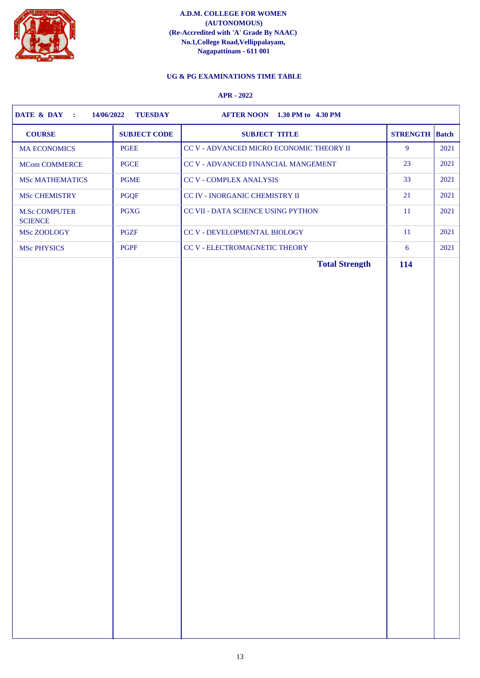

# **UG & PG EXAMINATIONS TIME TABLE**

| <b>SUBJECT CODE</b><br><b>COURSE</b>                  | <b>SUBJECT TITLE</b>                     | <b>STRENGTH</b> Batch |      |
|-------------------------------------------------------|------------------------------------------|-----------------------|------|
| PGEE<br><b>MA ECONOMICS</b>                           | CC V - ADVANCED MICRO ECONOMIC THEORY II | $\overline{9}$        | 2021 |
| <b>PGCE</b><br><b>MCom COMMERCE</b>                   | CC V - ADVANCED FINANCIAL MANGEMENT      | 23                    | 2021 |
| <b>PGME</b><br><b>MSc MATHEMATICS</b>                 | CC V - COMPLEX ANALYSIS                  | 33                    | 2021 |
| PGQF<br>MSc CHEMISTRY                                 | CC IV - INORGANIC CHEMISTRY II           | 21                    | 2021 |
| <b>PGXG</b><br><b>M.Sc COMPUTER</b><br><b>SCIENCE</b> | CC VII - DATA SCIENCE USING PYTHON       | $11\,$                | 2021 |
| PGZF<br>MSc ZOOLOGY                                   | CC V - DEVELOPMENTAL BIOLOGY             | 11                    | 2021 |
| PGPF<br><b>MSc PHYSICS</b>                            | CC V - ELECTROMAGNETIC THEORY            | 6                     | 2021 |
|                                                       | <b>Total Strength</b>                    | 114                   |      |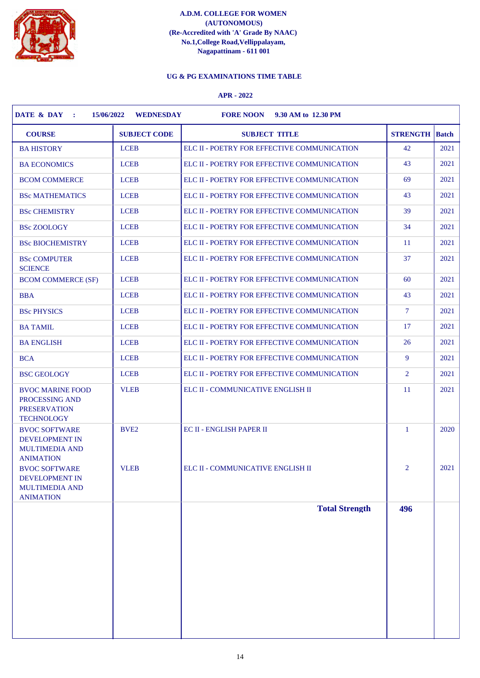

# **UG & PG EXAMINATIONS TIME TABLE**

| <b>COURSE</b>                                                                              | <b>SUBJECT CODE</b> | <b>SUBJECT TITLE</b>                        | <b>STRENGTH</b> | <b>Batch</b> |
|--------------------------------------------------------------------------------------------|---------------------|---------------------------------------------|-----------------|--------------|
| <b>BA HISTORY</b>                                                                          | <b>LCEB</b>         | ELC II - POETRY FOR EFFECTIVE COMMUNICATION | 42              | 2021         |
| <b>BA ECONOMICS</b>                                                                        | <b>LCEB</b>         | ELC II - POETRY FOR EFFECTIVE COMMUNICATION | 43              | 2021         |
| <b>BCOM COMMERCE</b>                                                                       | <b>LCEB</b>         | ELC II - POETRY FOR EFFECTIVE COMMUNICATION | 69              | 2021         |
| <b>BSc MATHEMATICS</b>                                                                     | <b>LCEB</b>         | ELC II - POETRY FOR EFFECTIVE COMMUNICATION | 43              | 2021         |
| <b>BSc CHEMISTRY</b>                                                                       | <b>LCEB</b>         | ELC II - POETRY FOR EFFECTIVE COMMUNICATION | 39              | 2021         |
| <b>BSc ZOOLOGY</b>                                                                         | <b>LCEB</b>         | ELC II - POETRY FOR EFFECTIVE COMMUNICATION | 34              | 2021         |
| <b>BSc BIOCHEMISTRY</b>                                                                    | <b>LCEB</b>         | ELC II - POETRY FOR EFFECTIVE COMMUNICATION | <sup>11</sup>   | 2021         |
| <b>BSc COMPUTER</b><br><b>SCIENCE</b>                                                      | <b>LCEB</b>         | ELC II - POETRY FOR EFFECTIVE COMMUNICATION | 37              | 2021         |
| <b>BCOM COMMERCE (SF)</b>                                                                  | <b>LCEB</b>         | ELC II - POETRY FOR EFFECTIVE COMMUNICATION | 60              | 2021         |
| <b>BBA</b>                                                                                 | <b>LCEB</b>         | ELC II - POETRY FOR EFFECTIVE COMMUNICATION | 43              | 2021         |
| <b>BSc PHYSICS</b>                                                                         | <b>LCEB</b>         | ELC II - POETRY FOR EFFECTIVE COMMUNICATION | $\overline{7}$  | 2021         |
| <b>BA TAMIL</b>                                                                            | <b>LCEB</b>         | ELC II - POETRY FOR EFFECTIVE COMMUNICATION | 17              | 2021         |
| <b>BA ENGLISH</b>                                                                          | <b>LCEB</b>         | ELC II - POETRY FOR EFFECTIVE COMMUNICATION | 26              | 2021         |
| <b>BCA</b>                                                                                 | <b>LCEB</b>         | ELC II - POETRY FOR EFFECTIVE COMMUNICATION | 9               | 2021         |
| <b>BSC GEOLOGY</b>                                                                         | <b>LCEB</b>         | ELC II - POETRY FOR EFFECTIVE COMMUNICATION | $\overline{2}$  | 2021         |
| <b>BVOC MARINE FOOD</b><br>PROCESSING AND<br><b>PRESERVATION</b><br><b>TECHNOLOGY</b>      | <b>VLEB</b>         | ELC II - COMMUNICATIVE ENGLISH II           | <sup>11</sup>   | 2021         |
| <b>BVOC SOFTWARE</b><br><b>DEVELOPMENT IN</b><br><b>MULTIMEDIA AND</b><br><b>ANIMATION</b> | BVE <sub>2</sub>    | <b>EC II - ENGLISH PAPER II</b>             | $\mathbf{1}$    | 2020         |
| <b>BVOC SOFTWARE</b><br><b>DEVELOPMENT IN</b><br><b>MULTIMEDIA AND</b><br><b>ANIMATION</b> | <b>VLEB</b>         | ELC II - COMMUNICATIVE ENGLISH II           | $\overline{2}$  | 2021         |
|                                                                                            |                     | <b>Total Strength</b>                       | 496             |              |
|                                                                                            |                     |                                             |                 |              |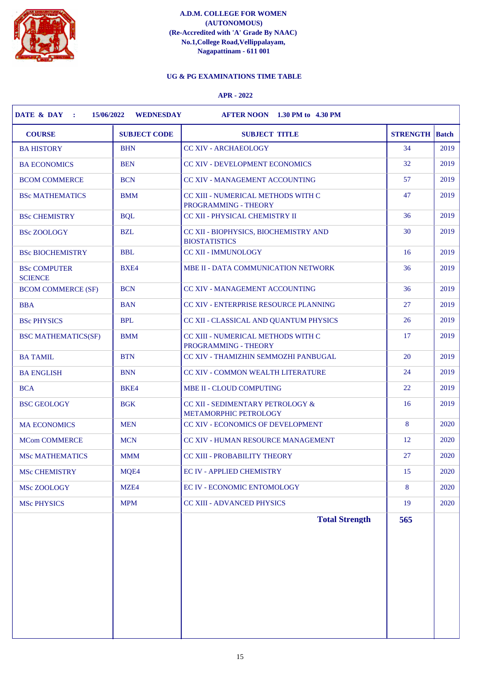

# **UG & PG EXAMINATIONS TIME TABLE**

| <b>COURSE</b>                         | <b>SUBJECT CODE</b> | <b>SUBJECT TITLE</b>                                             | <b>STRENGTH</b> | <b>Batch</b> |
|---------------------------------------|---------------------|------------------------------------------------------------------|-----------------|--------------|
| <b>BA HISTORY</b>                     | <b>BHN</b>          | <b>CC XIV - ARCHAEOLOGY</b>                                      | 34              | 2019         |
| <b>BA ECONOMICS</b>                   | <b>BEN</b>          | <b>CC XIV - DEVELOPMENT ECONOMICS</b>                            | 32              | 2019         |
| <b>BCOM COMMERCE</b>                  | <b>BCN</b>          | <b>CC XIV - MANAGEMENT ACCOUNTING</b>                            | 57              | 2019         |
| <b>BSc MATHEMATICS</b>                | <b>BMM</b>          | CC XIII - NUMERICAL METHODS WITH C<br>PROGRAMMING - THEORY       | 47              | 2019         |
| <b>BSc CHEMISTRY</b>                  | <b>BQL</b>          | CC XII - PHYSICAL CHEMISTRY II                                   | 36              | 2019         |
| <b>BSc ZOOLOGY</b>                    | <b>BZL</b>          | CC XII - BIOPHYSICS, BIOCHEMISTRY AND<br><b>BIOSTATISTICS</b>    | 30              | 2019         |
| <b>BSc BIOCHEMISTRY</b>               | <b>BBL</b>          | <b>CC XII - IMMUNOLOGY</b>                                       | 16              | 2019         |
| <b>BSc COMPUTER</b><br><b>SCIENCE</b> | BXE4                | MBE II - DATA COMMUNICATION NETWORK                              | 36              | 2019         |
| <b>BCOM COMMERCE (SF)</b>             | <b>BCN</b>          | CC XIV - MANAGEMENT ACCOUNTING                                   | 36              | 2019         |
| <b>BBA</b>                            | <b>BAN</b>          | CC XIV - ENTERPRISE RESOURCE PLANNING                            | 27              | 2019         |
| <b>BSc PHYSICS</b>                    | <b>BPL</b>          | CC XII - CLASSICAL AND QUANTUM PHYSICS                           | 26              | 2019         |
| <b>BSC MATHEMATICS(SF)</b>            | <b>BMM</b>          | CC XIII - NUMERICAL METHODS WITH C<br>PROGRAMMING - THEORY       | 17              | 2019         |
| <b>BA TAMIL</b>                       | <b>BTN</b>          | CC XIV - THAMIZHIN SEMMOZHI PANBUGAL                             | 20              | 2019         |
| <b>BA ENGLISH</b>                     | <b>BNN</b>          | CC XIV - COMMON WEALTH LITERATURE                                | 24              | 2019         |
| <b>BCA</b>                            | BKE4                | MBE II - CLOUD COMPUTING                                         | 22              | 2019         |
| <b>BSC GEOLOGY</b>                    | <b>BGK</b>          | CC XII - SEDIMENTARY PETROLOGY &<br><b>METAMORPHIC PETROLOGY</b> | 16              | 2019         |
| <b>MA ECONOMICS</b>                   | <b>MEN</b>          | CC XIV - ECONOMICS OF DEVELOPMENT                                | 8               | 2020         |
| <b>MCom COMMERCE</b>                  | <b>MCN</b>          | <b>CC XIV - HUMAN RESOURCE MANAGEMENT</b>                        | 12              | 2020         |
| <b>MSc MATHEMATICS</b>                | <b>MMM</b>          | <b>CC XIII - PROBABILITY THEORY</b>                              | 27              | 2020         |
| <b>MSc CHEMISTRY</b>                  | MQE4                | <b>EC IV - APPLIED CHEMISTRY</b>                                 | 15              | 2020         |
| MSc ZOOLOGY                           | MZE4                | EC IV - ECONOMIC ENTOMOLOGY                                      | 8               | 2020         |
| <b>MSc PHYSICS</b>                    | <b>MPM</b>          | CC XIII - ADVANCED PHYSICS                                       | 19              | 2020         |
|                                       |                     | <b>Total Strength</b>                                            | 565             |              |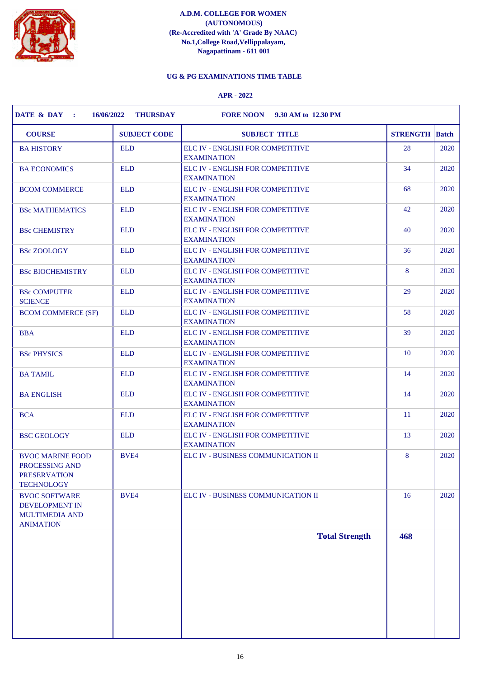

# **UG & PG EXAMINATIONS TIME TABLE**

| <b>COURSE</b>                                                                              | <b>SUBJECT CODE</b> | <b>SUBJECT TITLE</b>                                   | <b>STRENGTH</b>  | <b>Batch</b> |
|--------------------------------------------------------------------------------------------|---------------------|--------------------------------------------------------|------------------|--------------|
| <b>BA HISTORY</b>                                                                          | <b>ELD</b>          | ELC IV - ENGLISH FOR COMPETITIVE<br><b>EXAMINATION</b> | 28               | 2020         |
| <b>BA ECONOMICS</b>                                                                        | <b>ELD</b>          | ELC IV - ENGLISH FOR COMPETITIVE<br><b>EXAMINATION</b> | 34               | 2020         |
| <b>BCOM COMMERCE</b>                                                                       | <b>ELD</b>          | ELC IV - ENGLISH FOR COMPETITIVE<br><b>EXAMINATION</b> | 68               | 2020         |
| <b>BSc MATHEMATICS</b>                                                                     | <b>ELD</b>          | ELC IV - ENGLISH FOR COMPETITIVE<br><b>EXAMINATION</b> | 42               | 2020         |
| <b>BSc CHEMISTRY</b>                                                                       | <b>ELD</b>          | ELC IV - ENGLISH FOR COMPETITIVE<br><b>EXAMINATION</b> | 40               | 2020         |
| <b>BSc ZOOLOGY</b>                                                                         | <b>ELD</b>          | ELC IV - ENGLISH FOR COMPETITIVE<br><b>EXAMINATION</b> | 36               | 2020         |
| <b>BSc BIOCHEMISTRY</b>                                                                    | <b>ELD</b>          | ELC IV - ENGLISH FOR COMPETITIVE<br><b>EXAMINATION</b> | $\boldsymbol{8}$ | 2020         |
| <b>BSc COMPUTER</b><br><b>SCIENCE</b>                                                      | <b>ELD</b>          | ELC IV - ENGLISH FOR COMPETITIVE<br><b>EXAMINATION</b> | 29               | 2020         |
| <b>BCOM COMMERCE (SF)</b>                                                                  | <b>ELD</b>          | ELC IV - ENGLISH FOR COMPETITIVE<br><b>EXAMINATION</b> | 58               | 2020         |
| <b>BBA</b>                                                                                 | <b>ELD</b>          | ELC IV - ENGLISH FOR COMPETITIVE<br><b>EXAMINATION</b> | 39               | 2020         |
| <b>BSc PHYSICS</b>                                                                         | <b>ELD</b>          | ELC IV - ENGLISH FOR COMPETITIVE<br><b>EXAMINATION</b> | <b>10</b>        | 2020         |
| <b>BA TAMIL</b>                                                                            | <b>ELD</b>          | ELC IV - ENGLISH FOR COMPETITIVE<br><b>EXAMINATION</b> | 14               | 2020         |
| <b>BA ENGLISH</b>                                                                          | <b>ELD</b>          | ELC IV - ENGLISH FOR COMPETITIVE<br><b>EXAMINATION</b> | 14               | 2020         |
| <b>BCA</b>                                                                                 | <b>ELD</b>          | ELC IV - ENGLISH FOR COMPETITIVE<br><b>EXAMINATION</b> | <sup>11</sup>    | 2020         |
| <b>BSC GEOLOGY</b>                                                                         | <b>ELD</b>          | ELC IV - ENGLISH FOR COMPETITIVE<br><b>EXAMINATION</b> | 13               | 2020         |
| <b>BVOC MARINE FOOD</b><br>PROCESSING AND<br><b>PRESERVATION</b><br><b>TECHNOLOGY</b>      | BVE4                | ELC IV - BUSINESS COMMUNICATION II                     | 8                | 2020         |
| <b>BVOC SOFTWARE</b><br><b>DEVELOPMENT IN</b><br><b>MULTIMEDIA AND</b><br><b>ANIMATION</b> | <b>BVE4</b>         | ELC IV - BUSINESS COMMUNICATION II                     | <b>16</b>        | 2020         |
|                                                                                            |                     | <b>Total Strength</b>                                  | 468              |              |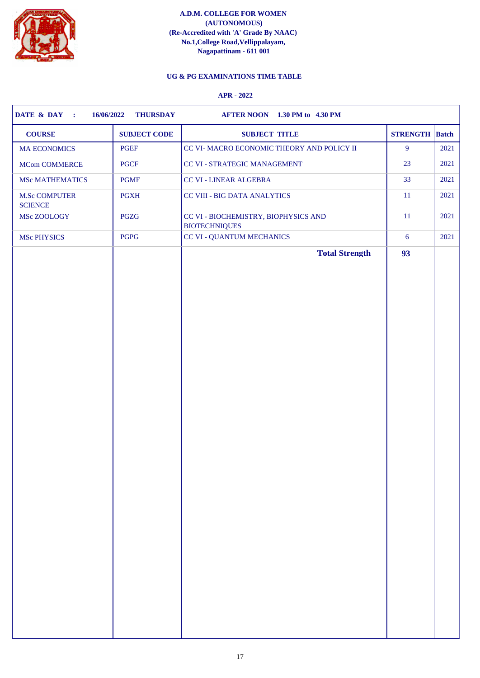

# **UG & PG EXAMINATIONS TIME TABLE**

| $\overline{9}$<br>2021<br>PGEF<br>CC VI- MACRO ECONOMIC THEORY AND POLICY II<br>$\operatorname{\mathsf{PGCF}}$<br>23<br>2021<br>CC VI - STRATEGIC MANAGEMENT<br><b>PGMF</b><br>CC VI - LINEAR ALGEBRA<br>33<br>2021<br><b>11</b><br>2021<br><b>PGXH</b><br><b>CC VIII - BIG DATA ANALYTICS</b><br>$11\,$<br>PGZG<br>CC VI - BIOCHEMISTRY, BIOPHYSICS AND<br>2021<br><b>BIOTECHNIQUES</b><br>PGPG<br><b>CC VI - QUANTUM MECHANICS</b><br>6<br><b>Total Strength</b><br>93 | <b>COURSE</b>                          | <b>SUBJECT CODE</b> | <b>SUBJECT TITLE</b> | <b>STRENGTH</b> Batch |      |
|--------------------------------------------------------------------------------------------------------------------------------------------------------------------------------------------------------------------------------------------------------------------------------------------------------------------------------------------------------------------------------------------------------------------------------------------------------------------------|----------------------------------------|---------------------|----------------------|-----------------------|------|
|                                                                                                                                                                                                                                                                                                                                                                                                                                                                          | <b>MA ECONOMICS</b>                    |                     |                      |                       |      |
|                                                                                                                                                                                                                                                                                                                                                                                                                                                                          | <b>MCom COMMERCE</b>                   |                     |                      |                       |      |
|                                                                                                                                                                                                                                                                                                                                                                                                                                                                          | <b>MSc MATHEMATICS</b>                 |                     |                      |                       |      |
|                                                                                                                                                                                                                                                                                                                                                                                                                                                                          | <b>M.Sc COMPUTER</b><br><b>SCIENCE</b> |                     |                      |                       |      |
|                                                                                                                                                                                                                                                                                                                                                                                                                                                                          | MSc ZOOLOGY                            |                     |                      |                       |      |
|                                                                                                                                                                                                                                                                                                                                                                                                                                                                          | <b>MSc PHYSICS</b>                     |                     |                      |                       | 2021 |
|                                                                                                                                                                                                                                                                                                                                                                                                                                                                          |                                        |                     |                      |                       |      |
|                                                                                                                                                                                                                                                                                                                                                                                                                                                                          |                                        |                     |                      |                       |      |
|                                                                                                                                                                                                                                                                                                                                                                                                                                                                          |                                        |                     |                      |                       |      |
|                                                                                                                                                                                                                                                                                                                                                                                                                                                                          |                                        |                     |                      |                       |      |
|                                                                                                                                                                                                                                                                                                                                                                                                                                                                          |                                        |                     |                      |                       |      |
|                                                                                                                                                                                                                                                                                                                                                                                                                                                                          |                                        |                     |                      |                       |      |
|                                                                                                                                                                                                                                                                                                                                                                                                                                                                          |                                        |                     |                      |                       |      |
|                                                                                                                                                                                                                                                                                                                                                                                                                                                                          |                                        |                     |                      |                       |      |
|                                                                                                                                                                                                                                                                                                                                                                                                                                                                          |                                        |                     |                      |                       |      |
|                                                                                                                                                                                                                                                                                                                                                                                                                                                                          |                                        |                     |                      |                       |      |
|                                                                                                                                                                                                                                                                                                                                                                                                                                                                          |                                        |                     |                      |                       |      |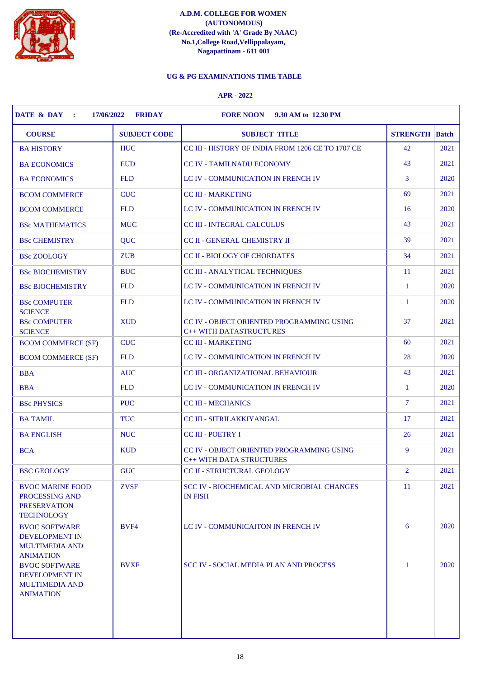

# **UG & PG EXAMINATIONS TIME TABLE**

| <b>COURSE</b>                                                                              | <b>SUBJECT CODE</b> | <b>SUBJECT TITLE</b>                                                         | <b>STRENGTH</b> | <b>Batch</b> |
|--------------------------------------------------------------------------------------------|---------------------|------------------------------------------------------------------------------|-----------------|--------------|
| <b>BA HISTORY</b>                                                                          | <b>HUC</b>          | CC III - HISTORY OF INDIA FROM 1206 CE TO 1707 CE                            | 42              | 2021         |
| <b>BA ECONOMICS</b>                                                                        | <b>EUD</b>          | <b>CC IV - TAMILNADU ECONOMY</b>                                             | 43              | 2021         |
| <b>BA ECONOMICS</b>                                                                        | <b>FLD</b>          | LC IV - COMMUNICATION IN FRENCH IV                                           | 3               | 2020         |
| <b>BCOM COMMERCE</b>                                                                       | <b>CUC</b>          | <b>CC III - MARKETING</b>                                                    | 69              | 2021         |
| <b>BCOM COMMERCE</b>                                                                       | <b>FLD</b>          | LC IV - COMMUNICATION IN FRENCH IV                                           | 16              | 2020         |
| <b>BSc MATHEMATICS</b>                                                                     | <b>MUC</b>          | <b>CC III - INTEGRAL CALCULUS</b>                                            | 43              | 2021         |
| <b>BSc CHEMISTRY</b>                                                                       | QUC                 | CC II - GENERAL CHEMISTRY II                                                 | 39              | 2021         |
| <b>BSc ZOOLOGY</b>                                                                         | <b>ZUB</b>          | CC II - BIOLOGY OF CHORDATES                                                 | 34              | 2021         |
| <b>BSc BIOCHEMISTRY</b>                                                                    | <b>BUC</b>          | CC III - ANALYTICAL TECHNIQUES                                               | <sup>11</sup>   | 2021         |
| <b>BSc BIOCHEMISTRY</b>                                                                    | <b>FLD</b>          | LC IV - COMMUNICATION IN FRENCH IV                                           | $\mathbf{1}$    | 2020         |
| <b>BSc COMPUTER</b>                                                                        | <b>FLD</b>          | LC IV - COMMUNICATION IN FRENCH IV                                           | $\mathbf{1}$    | 2020         |
| <b>SCIENCE</b><br><b>BSc COMPUTER</b><br><b>SCIENCE</b>                                    | <b>XUD</b>          | CC IV - OBJECT ORIENTED PROGRAMMING USING<br>C++ WITH DATASTRUCTURES         | 37              | 2021         |
| <b>BCOM COMMERCE (SF)</b>                                                                  | <b>CUC</b>          | <b>CC III - MARKETING</b>                                                    | 60              | 2021         |
| <b>BCOM COMMERCE (SF)</b>                                                                  | <b>FLD</b>          | LC IV - COMMUNICATION IN FRENCH IV                                           | 28              | 2020         |
| <b>BBA</b>                                                                                 | <b>AUC</b>          | <b>CC III - ORGANIZATIONAL BEHAVIOUR</b>                                     | 43              | 2021         |
| <b>BBA</b>                                                                                 | <b>FLD</b>          | LC IV - COMMUNICATION IN FRENCH IV                                           | $\mathbf{1}$    | 2020         |
| <b>BSc PHYSICS</b>                                                                         | <b>PUC</b>          | <b>CC III - MECHANICS</b>                                                    | $\tau$          | 2021         |
| <b>BA TAMIL</b>                                                                            | <b>TUC</b>          | <b>CC III - SITRILAKKIYANGAL</b>                                             | 17              | 2021         |
| <b>BA ENGLISH</b>                                                                          | <b>NUC</b>          | CC III - POETRY I                                                            | 26              | 2021         |
| <b>BCA</b>                                                                                 | <b>KUD</b>          | CC IV - OBJECT ORIENTED PROGRAMMING USING<br><b>C++ WITH DATA STRUCTURES</b> | 9               | 2021         |
| <b>BSC GEOLOGY</b>                                                                         | <b>GUC</b>          | CC II - STRUCTURAL GEOLOGY                                                   | $\overline{2}$  | 2021         |
| <b>BVOC MARINE FOOD</b><br>PROCESSING AND<br><b>PRESERVATION</b><br><b>TECHNOLOGY</b>      | <b>ZVSF</b>         | SCC IV - BIOCHEMICAL AND MICROBIAL CHANGES<br><b>IN FISH</b>                 | 11              | 2021         |
| <b>BVOC SOFTWARE</b><br><b>DEVELOPMENT IN</b><br><b>MULTIMEDIA AND</b><br><b>ANIMATION</b> | BVF4                | LC IV - COMMUNICAITON IN FRENCH IV                                           | 6               | 2020         |
| <b>BVOC SOFTWARE</b><br><b>DEVELOPMENT IN</b><br><b>MULTIMEDIA AND</b><br><b>ANIMATION</b> | <b>BVXF</b>         | SCC IV - SOCIAL MEDIA PLAN AND PROCESS                                       | -1              | 2020         |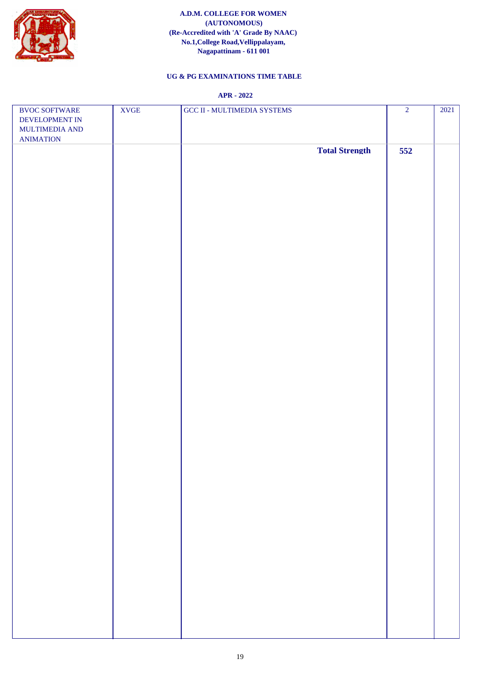

# **UG & PG EXAMINATIONS TIME TABLE**

| <b>BVOC SOFTWARE</b>                                 | <b>XVGE</b> | GCC II - MULTIMEDIA SYSTEMS | $\overline{2}$ | 2021 |
|------------------------------------------------------|-------------|-----------------------------|----------------|------|
| DEVELOPMENT IN<br>MULTIMEDIA AND<br><b>ANIMATION</b> |             |                             |                |      |
|                                                      |             | <b>Total Strength</b>       | 552            |      |
|                                                      |             |                             |                |      |
|                                                      |             |                             |                |      |
|                                                      |             |                             |                |      |
|                                                      |             |                             |                |      |
|                                                      |             |                             |                |      |
|                                                      |             |                             |                |      |
|                                                      |             |                             |                |      |
|                                                      |             |                             |                |      |
|                                                      |             |                             |                |      |
|                                                      |             |                             |                |      |
|                                                      |             |                             |                |      |
|                                                      |             |                             |                |      |
|                                                      |             |                             |                |      |
|                                                      |             |                             |                |      |
|                                                      |             |                             |                |      |
|                                                      |             |                             |                |      |
|                                                      |             |                             |                |      |
|                                                      |             |                             |                |      |
|                                                      |             |                             |                |      |
|                                                      |             |                             |                |      |
|                                                      |             |                             |                |      |
|                                                      |             |                             |                |      |
|                                                      |             |                             |                |      |
|                                                      |             |                             |                |      |
|                                                      |             |                             |                |      |
|                                                      |             |                             |                |      |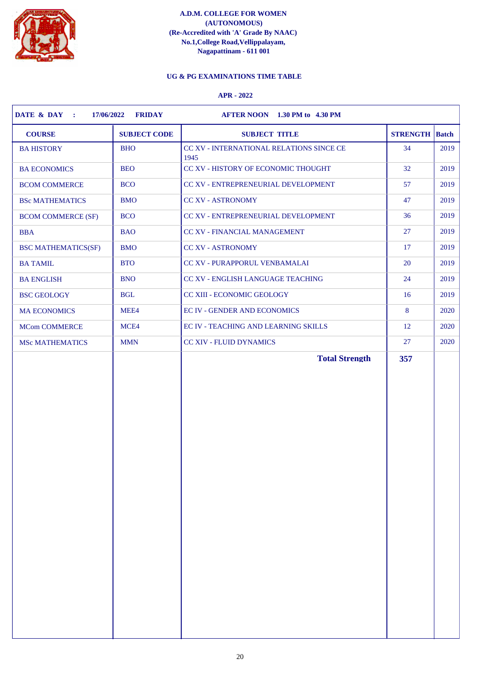

# **UG & PG EXAMINATIONS TIME TABLE**

| <b>BA HISTORY</b><br><b>BHO</b><br><b>BEO</b><br><b>BA ECONOMICS</b><br><b>BCO</b><br><b>BCOM COMMERCE</b><br><b>BMO</b><br><b>BSc MATHEMATICS</b><br><b>BCO</b><br><b>BCOM COMMERCE (SF)</b><br><b>BAO</b><br><b>BBA</b><br><b>BMO</b><br><b>BSC MATHEMATICS(SF)</b> | CC XV - INTERNATIONAL RELATIONS SINCE CE<br>1945<br>CC XV - HISTORY OF ECONOMIC THOUGHT<br>CC XV - ENTREPRENEURIAL DEVELOPMENT<br><b>CC XV - ASTRONOMY</b><br>CC XV - ENTREPRENEURIAL DEVELOPMENT<br>CC XV - FINANCIAL MANAGEMENT | 34<br>32<br>57<br>47<br>36 | 2019<br>2019<br>2019<br>2019 |
|-----------------------------------------------------------------------------------------------------------------------------------------------------------------------------------------------------------------------------------------------------------------------|-----------------------------------------------------------------------------------------------------------------------------------------------------------------------------------------------------------------------------------|----------------------------|------------------------------|
|                                                                                                                                                                                                                                                                       |                                                                                                                                                                                                                                   |                            |                              |
|                                                                                                                                                                                                                                                                       |                                                                                                                                                                                                                                   |                            |                              |
|                                                                                                                                                                                                                                                                       |                                                                                                                                                                                                                                   |                            |                              |
|                                                                                                                                                                                                                                                                       |                                                                                                                                                                                                                                   |                            |                              |
|                                                                                                                                                                                                                                                                       |                                                                                                                                                                                                                                   |                            | 2019                         |
|                                                                                                                                                                                                                                                                       |                                                                                                                                                                                                                                   | 27                         | 2019                         |
|                                                                                                                                                                                                                                                                       | <b>CC XV - ASTRONOMY</b>                                                                                                                                                                                                          | 17                         | 2019                         |
| <b>BTO</b><br><b>BA TAMIL</b>                                                                                                                                                                                                                                         | CC XV - PURAPPORUL VENBAMALAI                                                                                                                                                                                                     | 20                         | 2019                         |
| <b>BNO</b><br><b>BA ENGLISH</b>                                                                                                                                                                                                                                       | CC XV - ENGLISH LANGUAGE TEACHING                                                                                                                                                                                                 | 24                         | 2019                         |
| <b>BGL</b><br><b>BSC GEOLOGY</b>                                                                                                                                                                                                                                      | CC XIII - ECONOMIC GEOLOGY                                                                                                                                                                                                        | 16                         | 2019                         |
| MEE4<br><b>MA ECONOMICS</b>                                                                                                                                                                                                                                           | <b>EC IV - GENDER AND ECONOMICS</b>                                                                                                                                                                                               | 8                          | 2020                         |
| <b>MCom COMMERCE</b><br>MCE4                                                                                                                                                                                                                                          | EC IV - TEACHING AND LEARNING SKILLS                                                                                                                                                                                              | 12                         | 2020                         |
| <b>MSc MATHEMATICS</b><br><b>MMN</b>                                                                                                                                                                                                                                  | <b>CC XIV - FLUID DYNAMICS</b>                                                                                                                                                                                                    | 27                         | 2020                         |
|                                                                                                                                                                                                                                                                       |                                                                                                                                                                                                                                   |                            |                              |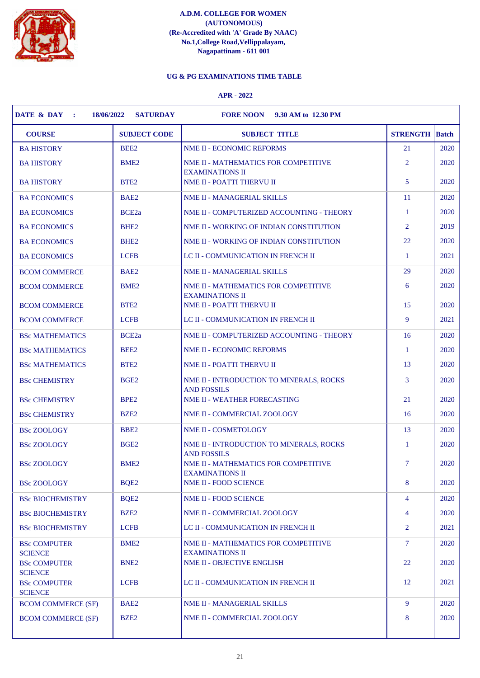

# **UG & PG EXAMINATIONS TIME TABLE**

| <b>COURSE</b>                         | <b>SUBJECT CODE</b> | <b>SUBJECT TITLE</b>                                           | <b>STRENGTH</b> | Batch |
|---------------------------------------|---------------------|----------------------------------------------------------------|-----------------|-------|
| <b>BA HISTORY</b>                     | BEE <sub>2</sub>    | NME II - ECONOMIC REFORMS                                      | 21              | 2020  |
| <b>BA HISTORY</b>                     | BME <sub>2</sub>    | NME II - MATHEMATICS FOR COMPETITIVE<br><b>EXAMINATIONS II</b> | $\overline{2}$  | 2020  |
| <b>BA HISTORY</b>                     | BTE <sub>2</sub>    | NME II - POATTI THERVU II                                      | 5               | 2020  |
| <b>BA ECONOMICS</b>                   | BAE <sub>2</sub>    | <b>NME II - MANAGERIAL SKILLS</b>                              | 11              | 2020  |
| <b>BA ECONOMICS</b>                   | BCE <sub>2a</sub>   | NME II - COMPUTERIZED ACCOUNTING - THEORY                      | $\mathbf{1}$    | 2020  |
| <b>BA ECONOMICS</b>                   | BHE <sub>2</sub>    | NME II - WORKING OF INDIAN CONSTITUTION                        | 2               | 2019  |
| <b>BA ECONOMICS</b>                   | BHE <sub>2</sub>    | NME II - WORKING OF INDIAN CONSTITUTION                        | 22              | 2020  |
| <b>BA ECONOMICS</b>                   | <b>LCFB</b>         | LC II - COMMUNICATION IN FRENCH II                             | -1              | 2021  |
| <b>BCOM COMMERCE</b>                  | BAE <sub>2</sub>    | <b>NME II - MANAGERIAL SKILLS</b>                              | 29              | 2020  |
| <b>BCOM COMMERCE</b>                  | BME <sub>2</sub>    | NME II - MATHEMATICS FOR COMPETITIVE<br><b>EXAMINATIONS II</b> | 6               | 2020  |
| <b>BCOM COMMERCE</b>                  | BTE <sub>2</sub>    | NME II - POATTI THERVU II                                      | 15              | 2020  |
| <b>BCOM COMMERCE</b>                  | <b>LCFB</b>         | LC II - COMMUNICATION IN FRENCH II                             | 9               | 2021  |
| <b>BSc MATHEMATICS</b>                | BCE <sub>2a</sub>   | NME II - COMPUTERIZED ACCOUNTING - THEORY                      | 16              | 2020  |
| <b>BSc MATHEMATICS</b>                | BEE <sub>2</sub>    | <b>NME II - ECONOMIC REFORMS</b>                               | -1              | 2020  |
| <b>BSc MATHEMATICS</b>                | BTE <sub>2</sub>    | NME II - POATTI THERVU II                                      | 13              | 2020  |
| <b>BSc CHEMISTRY</b>                  | BGE <sub>2</sub>    | NME II - INTRODUCTION TO MINERALS, ROCKS<br><b>AND FOSSILS</b> | 3               | 2020  |
| <b>BSc CHEMISTRY</b>                  | BPE <sub>2</sub>    | <b>NME II - WEATHER FORECASTING</b>                            | 21              | 2020  |
| <b>BSc CHEMISTRY</b>                  | BZE <sub>2</sub>    | NME II - COMMERCIAL ZOOLOGY                                    | 16              | 2020  |
| <b>BSc ZOOLOGY</b>                    | BBE <sub>2</sub>    | NME II - COSMETOLOGY                                           | 13              | 2020  |
| <b>BSc ZOOLOGY</b>                    | BGE <sub>2</sub>    | NME II - INTRODUCTION TO MINERALS, ROCKS<br><b>AND FOSSILS</b> | 1               | 2020  |
| <b>BSc ZOOLOGY</b>                    | BME <sub>2</sub>    | NME II - MATHEMATICS FOR COMPETITIVE<br><b>EXAMINATIONS II</b> | $\overline{7}$  | 2020  |
| <b>BSc ZOOLOGY</b>                    | BQE <sub>2</sub>    | <b>NME II - FOOD SCIENCE</b>                                   | 8               | 2020  |
| <b>BSc BIOCHEMISTRY</b>               | BQE <sub>2</sub>    | <b>NME II - FOOD SCIENCE</b>                                   | $\overline{4}$  | 2020  |
| <b>BSc BIOCHEMISTRY</b>               | BZE <sub>2</sub>    | NME II - COMMERCIAL ZOOLOGY                                    | 4               | 2020  |
| <b>BSc BIOCHEMISTRY</b>               | <b>LCFB</b>         | LC II - COMMUNICATION IN FRENCH II                             | 2               | 2021  |
| <b>BSc COMPUTER</b><br><b>SCIENCE</b> | BME <sub>2</sub>    | NME II - MATHEMATICS FOR COMPETITIVE<br><b>EXAMINATIONS II</b> | $\overline{7}$  | 2020  |
| <b>BSc COMPUTER</b><br><b>SCIENCE</b> | BNE <sub>2</sub>    | NME II - OBJECTIVE ENGLISH                                     | 22              | 2020  |
| <b>BSc COMPUTER</b><br><b>SCIENCE</b> | <b>LCFB</b>         | LC II - COMMUNICATION IN FRENCH II                             | 12              | 2021  |
| <b>BCOM COMMERCE (SF)</b>             | BAE <sub>2</sub>    | NME II - MANAGERIAL SKILLS                                     | 9               | 2020  |
| <b>BCOM COMMERCE (SF)</b>             | BZE <sub>2</sub>    | NME II - COMMERCIAL ZOOLOGY                                    | 8               | 2020  |
|                                       |                     |                                                                |                 |       |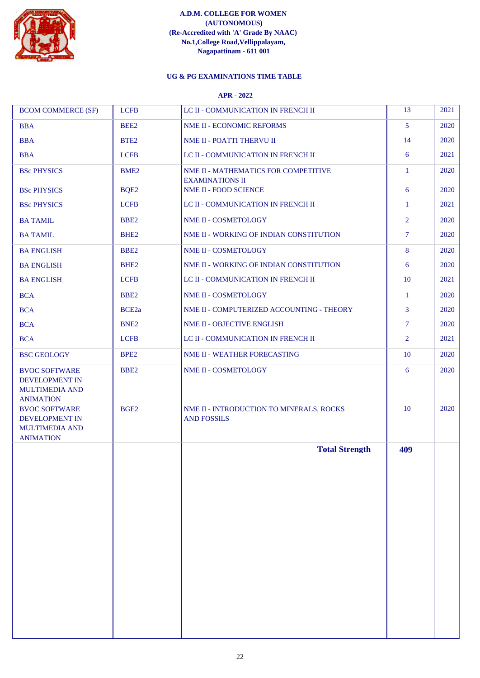

# **UG & PG EXAMINATIONS TIME TABLE**

| <b>BCOM COMMERCE (SF)</b>                                                                                   | <b>LCFB</b>                          | LC II - COMMUNICATION IN FRENCH II                               | 13             | 2021         |
|-------------------------------------------------------------------------------------------------------------|--------------------------------------|------------------------------------------------------------------|----------------|--------------|
| <b>BBA</b>                                                                                                  | BEE2                                 | NME II - ECONOMIC REFORMS                                        | $\mathfrak{S}$ | 2020         |
| <b>BBA</b>                                                                                                  | BTE <sub>2</sub>                     | NME II - POATTI THERVU II                                        | 14             | 2020         |
| <b>BBA</b>                                                                                                  | <b>LCFB</b>                          | LC II - COMMUNICATION IN FRENCH II                               | 6              | 2021         |
| <b>BSc PHYSICS</b>                                                                                          | BME <sub>2</sub>                     | NME II - MATHEMATICS FOR COMPETITIVE<br><b>EXAMINATIONS II</b>   | $\mathbf{1}$   | 2020         |
| <b>BSc PHYSICS</b>                                                                                          | BQE2                                 | NME II - FOOD SCIENCE                                            | 6              | 2020         |
| <b>BSc PHYSICS</b>                                                                                          | <b>LCFB</b>                          | LC II - COMMUNICATION IN FRENCH II                               | -1             | 2021         |
| <b>BA TAMIL</b>                                                                                             | BBE <sub>2</sub>                     | NME II - COSMETOLOGY                                             | $\overline{2}$ | 2020         |
| <b>BA TAMIL</b>                                                                                             | BHE <sub>2</sub>                     | NME II - WORKING OF INDIAN CONSTITUTION                          | $\tau$         | 2020         |
| <b>BA ENGLISH</b>                                                                                           | BBE <sub>2</sub>                     | NME II - COSMETOLOGY                                             | 8              | 2020         |
| <b>BA ENGLISH</b>                                                                                           | BHE <sub>2</sub>                     | NME II - WORKING OF INDIAN CONSTITUTION                          | 6              | 2020         |
| <b>BA ENGLISH</b>                                                                                           | <b>LCFB</b>                          | LC II - COMMUNICATION IN FRENCH II                               | 10             | 2021         |
| <b>BCA</b>                                                                                                  | BBE <sub>2</sub>                     | NME II - COSMETOLOGY                                             | $\mathbf{1}$   | 2020         |
| <b>BCA</b>                                                                                                  | BCE <sub>2a</sub>                    | NME II - COMPUTERIZED ACCOUNTING - THEORY                        | 3              | 2020         |
| <b>BCA</b>                                                                                                  | BNE <sub>2</sub>                     | NME II - OBJECTIVE ENGLISH                                       | $\tau$         | 2020         |
| <b>BCA</b>                                                                                                  | <b>LCFB</b>                          | LC II - COMMUNICATION IN FRENCH II                               | $\overline{2}$ | 2021         |
| <b>BSC GEOLOGY</b>                                                                                          | BPE <sub>2</sub>                     | NME II - WEATHER FORECASTING                                     | 10             | 2020         |
| <b>BVOC SOFTWARE</b><br>DEVELOPMENT IN<br><b>MULTIMEDIA AND</b><br><b>ANIMATION</b><br><b>BVOC SOFTWARE</b> | BBE <sub>2</sub><br>BGE <sub>2</sub> | NME II - COSMETOLOGY<br>NME II - INTRODUCTION TO MINERALS, ROCKS | 6<br>10        | 2020<br>2020 |
| DEVELOPMENT IN<br><b>MULTIMEDIA AND</b><br><b>ANIMATION</b>                                                 |                                      | <b>AND FOSSILS</b>                                               |                |              |
|                                                                                                             |                                      | <b>Total Strength</b>                                            | 409            |              |
|                                                                                                             |                                      |                                                                  |                |              |
|                                                                                                             |                                      |                                                                  |                |              |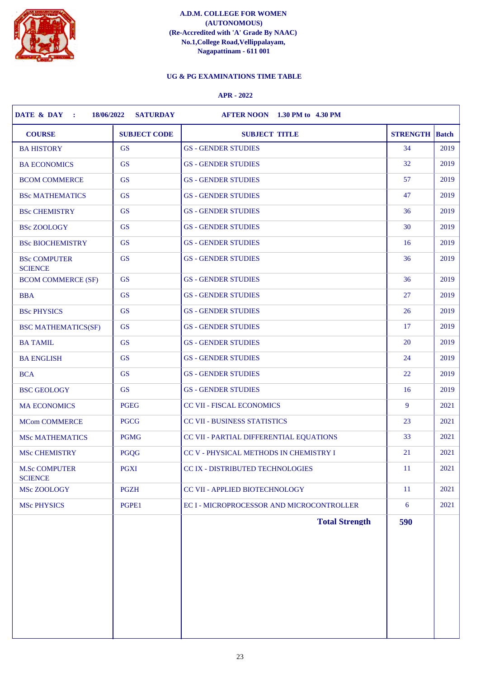

# **UG & PG EXAMINATIONS TIME TABLE**

| <b>COURSE</b>                          | <b>SUBJECT CODE</b> | <b>SUBJECT TITLE</b>                      | <b>STRENGTH</b> | <b>Batch</b> |
|----------------------------------------|---------------------|-------------------------------------------|-----------------|--------------|
| <b>BA HISTORY</b>                      | <b>GS</b>           | <b>GS - GENDER STUDIES</b>                | 34              | 2019         |
| <b>BA ECONOMICS</b>                    | <b>GS</b>           | <b>GS - GENDER STUDIES</b>                | 32              | 2019         |
| <b>BCOM COMMERCE</b>                   | <b>GS</b>           | <b>GS - GENDER STUDIES</b>                | 57              | 2019         |
| <b>BSc MATHEMATICS</b>                 | <b>GS</b>           | <b>GS - GENDER STUDIES</b>                | 47              | 2019         |
| <b>BSc CHEMISTRY</b>                   | <b>GS</b>           | <b>GS - GENDER STUDIES</b>                | 36              | 2019         |
| <b>BSc ZOOLOGY</b>                     | <b>GS</b>           | <b>GS - GENDER STUDIES</b>                | 30              | 2019         |
| <b>BSc BIOCHEMISTRY</b>                | <b>GS</b>           | <b>GS - GENDER STUDIES</b>                | 16              | 2019         |
| <b>BSc COMPUTER</b><br><b>SCIENCE</b>  | <b>GS</b>           | <b>GS - GENDER STUDIES</b>                | 36              | 2019         |
| <b>BCOM COMMERCE (SF)</b>              | <b>GS</b>           | <b>GS - GENDER STUDIES</b>                | 36              | 2019         |
| <b>BBA</b>                             | <b>GS</b>           | <b>GS - GENDER STUDIES</b>                | 27              | 2019         |
| <b>BSc PHYSICS</b>                     | <b>GS</b>           | <b>GS - GENDER STUDIES</b>                | 26              | 2019         |
| <b>BSC MATHEMATICS(SF)</b>             | <b>GS</b>           | <b>GS - GENDER STUDIES</b>                | 17              | 2019         |
| <b>BA TAMIL</b>                        | <b>GS</b>           | <b>GS - GENDER STUDIES</b>                | 20              | 2019         |
| <b>BA ENGLISH</b>                      | <b>GS</b>           | <b>GS - GENDER STUDIES</b>                | 24              | 2019         |
| <b>BCA</b>                             | <b>GS</b>           | <b>GS - GENDER STUDIES</b>                | 22              | 2019         |
| <b>BSC GEOLOGY</b>                     | <b>GS</b>           | <b>GS - GENDER STUDIES</b>                | 16              | 2019         |
| <b>MA ECONOMICS</b>                    | <b>PGEG</b>         | <b>CC VII - FISCAL ECONOMICS</b>          | 9               | 2021         |
| <b>MCom COMMERCE</b>                   | <b>PGCG</b>         | CC VII - BUSINESS STATISTICS              | 23              | 2021         |
| <b>MSc MATHEMATICS</b>                 | <b>PGMG</b>         | CC VII - PARTIAL DIFFERENTIAL EQUATIONS   | 33              | 2021         |
| <b>MSc CHEMISTRY</b>                   | <b>PGQG</b>         | CC V - PHYSICAL METHODS IN CHEMISTRY I    | 21              | 2021         |
| <b>M.Sc COMPUTER</b><br><b>SCIENCE</b> | <b>PGXI</b>         | CC IX - DISTRIBUTED TECHNOLOGIES          | -11             | 2021         |
| MSc ZOOLOGY                            | <b>PGZH</b>         | CC VII - APPLIED BIOTECHNOLOGY            | <sup>11</sup>   | 2021         |
| <b>MSc PHYSICS</b>                     | PGPE1               | EC I - MICROPROCESSOR AND MICROCONTROLLER | 6               | 2021         |
|                                        |                     | <b>Total Strength</b>                     | 590             |              |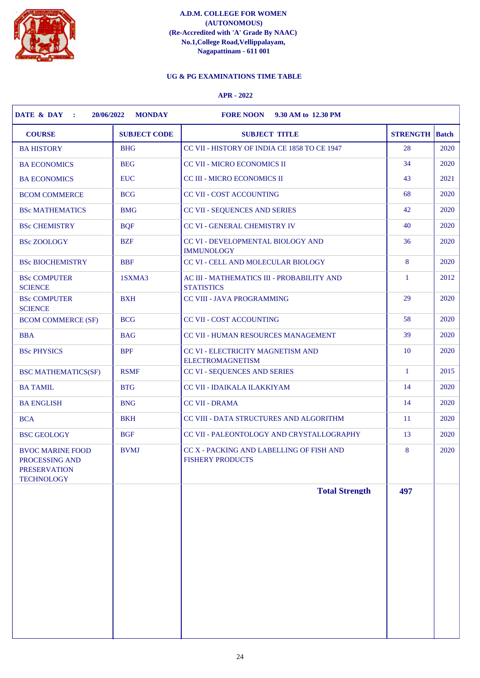

# **UG & PG EXAMINATIONS TIME TABLE**

| <b>COURSE</b>                                                                         | <b>SUBJECT CODE</b> | <b>SUBJECT TITLE</b>                                                | <b>STRENGTH</b> Batch |      |
|---------------------------------------------------------------------------------------|---------------------|---------------------------------------------------------------------|-----------------------|------|
| <b>BA HISTORY</b>                                                                     | <b>BHG</b>          | CC VII - HISTORY OF INDIA CE 1858 TO CE 1947                        | 28                    | 2020 |
| <b>BA ECONOMICS</b>                                                                   | <b>BEG</b>          | CC VII - MICRO ECONOMICS II                                         | 34                    | 2020 |
| <b>BA ECONOMICS</b>                                                                   | <b>EUC</b>          | CC III - MICRO ECONOMICS II                                         | 43                    | 2021 |
| <b>BCOM COMMERCE</b>                                                                  | <b>BCG</b>          | <b>CC VII - COST ACCOUNTING</b>                                     | 68                    | 2020 |
| <b>BSc MATHEMATICS</b>                                                                | <b>BMG</b>          | CC VII - SEQUENCES AND SERIES                                       | 42                    | 2020 |
| <b>BSc CHEMISTRY</b>                                                                  | <b>BQF</b>          | CC VI - GENERAL CHEMISTRY IV                                        | 40                    | 2020 |
| <b>BSc ZOOLOGY</b>                                                                    | <b>BZF</b>          | CC VI - DEVELOPMENTAL BIOLOGY AND<br><b>IMMUNOLOGY</b>              | 36                    | 2020 |
| <b>BSc BIOCHEMISTRY</b>                                                               | <b>BBF</b>          | CC VI - CELL AND MOLECULAR BIOLOGY                                  | 8                     | 2020 |
| <b>BSc COMPUTER</b><br><b>SCIENCE</b>                                                 | 1SXMA3              | AC III - MATHEMATICS III - PROBABILITY AND<br><b>STATISTICS</b>     | $\mathbf{1}$          | 2012 |
| <b>BSc COMPUTER</b><br><b>SCIENCE</b>                                                 | <b>BXH</b>          | <b>CC VIII - JAVA PROGRAMMING</b>                                   | 29                    | 2020 |
| <b>BCOM COMMERCE (SF)</b>                                                             | <b>BCG</b>          | <b>CC VII - COST ACCOUNTING</b>                                     | 58                    | 2020 |
| <b>BBA</b>                                                                            | <b>BAG</b>          | CC VII - HUMAN RESOURCES MANAGEMENT                                 | 39                    | 2020 |
| <b>BSc PHYSICS</b>                                                                    | <b>BPF</b>          | CC VI - ELECTRICITY MAGNETISM AND<br><b>ELECTROMAGNETISM</b>        | 10                    | 2020 |
| <b>BSC MATHEMATICS(SF)</b>                                                            | <b>RSMF</b>         | CC VI - SEQUENCES AND SERIES                                        | $\mathbf{1}$          | 2015 |
| <b>BA TAMIL</b>                                                                       | <b>BTG</b>          | CC VII - IDAIKALA ILAKKIYAM                                         | 14                    | 2020 |
| <b>BA ENGLISH</b>                                                                     | <b>BNG</b>          | <b>CC VII - DRAMA</b>                                               | 14                    | 2020 |
| <b>BCA</b>                                                                            | <b>BKH</b>          | CC VIII - DATA STRUCTURES AND ALGORITHM                             | <sup>11</sup>         | 2020 |
| <b>BSC GEOLOGY</b>                                                                    | <b>BGF</b>          | CC VII - PALEONTOLOGY AND CRYSTALLOGRAPHY                           | 13                    | 2020 |
| <b>BVOC MARINE FOOD</b><br>PROCESSING AND<br><b>PRESERVATION</b><br><b>TECHNOLOGY</b> | <b>BVMJ</b>         | CC X - PACKING AND LABELLING OF FISH AND<br><b>FISHERY PRODUCTS</b> | 8                     | 2020 |
|                                                                                       |                     | <b>Total Strength</b>                                               | 497                   |      |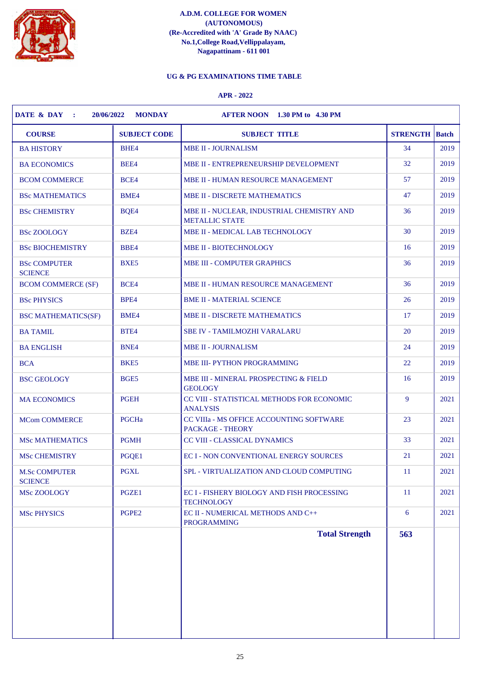

# **UG & PG EXAMINATIONS TIME TABLE**

| <b>COURSE</b>                          | <b>SUBJECT CODE</b> | <b>SUBJECT TITLE</b>                                                | <b>STRENGTH</b> | <b>Batch</b> |
|----------------------------------------|---------------------|---------------------------------------------------------------------|-----------------|--------------|
| <b>BA HISTORY</b>                      | BHE4                | <b>MBE II - JOURNALISM</b>                                          | 34              | 2019         |
| <b>BA ECONOMICS</b>                    | BEE4                | MBE II - ENTREPRENEURSHIP DEVELOPMENT                               | 32              | 2019         |
| <b>BCOM COMMERCE</b>                   | BCE4                | MBE II - HUMAN RESOURCE MANAGEMENT                                  | 57              | 2019         |
| <b>BSc MATHEMATICS</b>                 | <b>BME4</b>         | <b>MBE II - DISCRETE MATHEMATICS</b>                                | 47              | 2019         |
| <b>BSc CHEMISTRY</b>                   | BQE4                | MBE II - NUCLEAR, INDUSTRIAL CHEMISTRY AND<br><b>METALLIC STATE</b> | 36              | 2019         |
| <b>BSc ZOOLOGY</b>                     | BZE4                | MBE II - MEDICAL LAB TECHNOLOGY                                     | 30              | 2019         |
| <b>BSc BIOCHEMISTRY</b>                | BBE4                | <b>MBE II - BIOTECHNOLOGY</b>                                       | 16              | 2019         |
| <b>BSc COMPUTER</b><br><b>SCIENCE</b>  | BXE5                | <b>MBE III - COMPUTER GRAPHICS</b>                                  | 36              | 2019         |
| <b>BCOM COMMERCE (SF)</b>              | BCE4                | MBE II - HUMAN RESOURCE MANAGEMENT                                  | 36              | 2019         |
| <b>BSc PHYSICS</b>                     | BPE4                | <b>BME II - MATERIAL SCIENCE</b>                                    | 26              | 2019         |
| <b>BSC MATHEMATICS(SF)</b>             | <b>BME4</b>         | MBE II - DISCRETE MATHEMATICS                                       | 17              | 2019         |
| <b>BA TAMIL</b>                        | BTE4                | <b>SBE IV - TAMILMOZHI VARALARU</b>                                 | 20              | 2019         |
| <b>BA ENGLISH</b>                      | BNE4                | <b>MBE II - JOURNALISM</b>                                          | 24              | 2019         |
| <b>BCA</b>                             | BKE5                | MBE III- PYTHON PROGRAMMING                                         | 22              | 2019         |
| <b>BSC GEOLOGY</b>                     | BGE5                | MBE III - MINERAL PROSPECTING & FIELD<br><b>GEOLOGY</b>             | 16              | 2019         |
| <b>MA ECONOMICS</b>                    | <b>PGEH</b>         | CC VIII - STATISTICAL METHODS FOR ECONOMIC<br><b>ANALYSIS</b>       | 9               | 2021         |
| <b>MCom COMMERCE</b>                   | PGCHa               | CC VIIIa - MS OFFICE ACCOUNTING SOFTWARE<br><b>PACKAGE - THEORY</b> | 23              | 2021         |
| <b>MSc MATHEMATICS</b>                 | <b>PGMH</b>         | CC VIII - CLASSICAL DYNAMICS                                        | 33              | 2021         |
| <b>MSc CHEMISTRY</b>                   | PGQE1               | <b>EC I - NON CONVENTIONAL ENERGY SOURCES</b>                       | 21              | 2021         |
| <b>M.Sc COMPUTER</b><br><b>SCIENCE</b> | <b>PGXL</b>         | SPL - VIRTUALIZATION AND CLOUD COMPUTING                            | 11              | 2021         |
| MSc ZOOLOGY                            | PGZE1               | EC I - FISHERY BIOLOGY AND FISH PROCESSING<br><b>TECHNOLOGY</b>     | <sup>11</sup>   | 2021         |
| <b>MSc PHYSICS</b>                     | PGPE <sub>2</sub>   | EC II - NUMERICAL METHODS AND C++<br><b>PROGRAMMING</b>             | 6               | 2021         |
|                                        |                     | <b>Total Strength</b>                                               | 563             |              |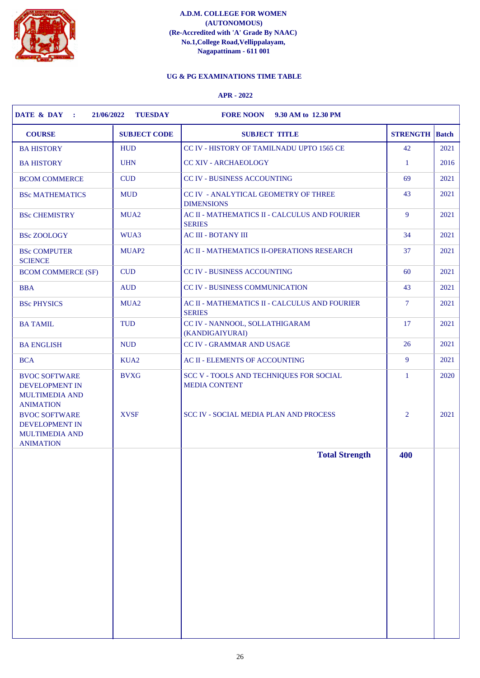

# **UG & PG EXAMINATIONS TIME TABLE**

| <b>COURSE</b>                                                                              | <b>SUBJECT CODE</b> | <b>SUBJECT TITLE</b>                                             | <b>STRENGTH</b> Batch |      |
|--------------------------------------------------------------------------------------------|---------------------|------------------------------------------------------------------|-----------------------|------|
| <b>BA HISTORY</b>                                                                          | <b>HUD</b>          | CC IV - HISTORY OF TAMILNADU UPTO 1565 CE                        | 42                    | 2021 |
| <b>BA HISTORY</b>                                                                          | <b>UHN</b>          | <b>CC XIV - ARCHAEOLOGY</b>                                      | -1                    | 2016 |
| <b>BCOM COMMERCE</b>                                                                       | <b>CUD</b>          | CC IV - BUSINESS ACCOUNTING                                      | 69                    | 2021 |
| <b>BSc MATHEMATICS</b>                                                                     | <b>MUD</b>          | <b>CC IV - ANALYTICAL GEOMETRY OF THREE</b><br><b>DIMENSIONS</b> | 43                    | 2021 |
| <b>BSc CHEMISTRY</b>                                                                       | MUA <sub>2</sub>    | AC II - MATHEMATICS II - CALCULUS AND FOURIER<br><b>SERIES</b>   | 9                     | 2021 |
| <b>BSc ZOOLOGY</b>                                                                         | WUA3                | <b>AC III - BOTANY III</b>                                       | 34                    | 2021 |
| <b>BSc COMPUTER</b><br><b>SCIENCE</b>                                                      | MUAP <sub>2</sub>   | AC II - MATHEMATICS II-OPERATIONS RESEARCH                       | 37                    | 2021 |
| <b>BCOM COMMERCE (SF)</b>                                                                  | <b>CUD</b>          | <b>CC IV - BUSINESS ACCOUNTING</b>                               | 60                    | 2021 |
| <b>BBA</b>                                                                                 | <b>AUD</b>          | <b>CC IV - BUSINESS COMMUNICATION</b>                            | 43                    | 2021 |
| <b>BSc PHYSICS</b>                                                                         | MUA <sub>2</sub>    | AC II - MATHEMATICS II - CALCULUS AND FOURIER<br><b>SERIES</b>   | $\tau$                | 2021 |
| <b>BA TAMIL</b>                                                                            | <b>TUD</b>          | CC IV - NANNOOL, SOLLATHIGARAM<br>(KANDIGAIYURAI)                | 17                    | 2021 |
| <b>BA ENGLISH</b>                                                                          | <b>NUD</b>          | CC IV - GRAMMAR AND USAGE                                        | 26                    | 2021 |
| <b>BCA</b>                                                                                 | KUA <sub>2</sub>    | AC II - ELEMENTS OF ACCOUNTING                                   | 9                     | 2021 |
| <b>BVOC SOFTWARE</b><br>DEVELOPMENT IN<br><b>MULTIMEDIA AND</b><br><b>ANIMATION</b>        | <b>BVXG</b>         | SCC V - TOOLS AND TECHNIQUES FOR SOCIAL<br><b>MEDIA CONTENT</b>  | $\mathbf{1}$          | 2020 |
| <b>BVOC SOFTWARE</b><br><b>DEVELOPMENT IN</b><br><b>MULTIMEDIA AND</b><br><b>ANIMATION</b> | <b>XVSF</b>         | <b>SCC IV - SOCIAL MEDIA PLAN AND PROCESS</b>                    | $\overline{2}$        | 2021 |
|                                                                                            |                     | <b>Total Strength</b>                                            | 400                   |      |
|                                                                                            |                     |                                                                  |                       |      |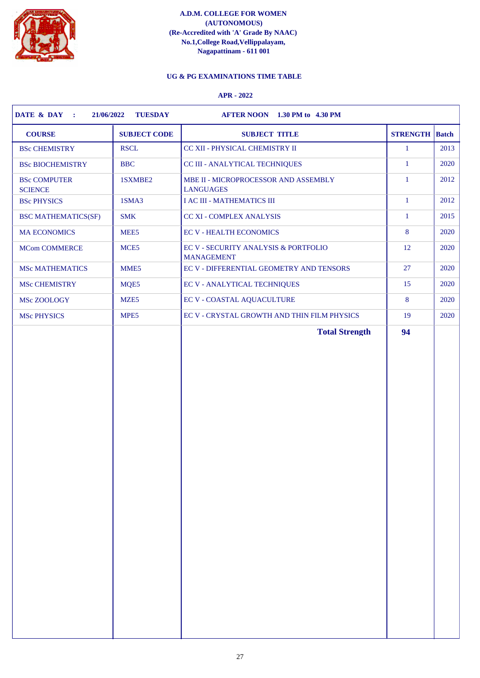

# **UG & PG EXAMINATIONS TIME TABLE**

| <b>COURSE</b>                         | <b>SUBJECT CODE</b> | <b>SUBJECT TITLE</b>                                      | <b>STRENGTH</b> Batch |      |
|---------------------------------------|---------------------|-----------------------------------------------------------|-----------------------|------|
| <b>BSc CHEMISTRY</b>                  | <b>RSCL</b>         | CC XII - PHYSICAL CHEMISTRY II                            | $\mathbf{1}$          | 2013 |
| <b>BSc BIOCHEMISTRY</b>               | <b>BBC</b>          | CC III - ANALYTICAL TECHNIQUES                            | $\mathbf{1}$          | 2020 |
| <b>BSc COMPUTER</b><br><b>SCIENCE</b> | 1SXMBE2             | MBE II - MICROPROCESSOR AND ASSEMBLY<br><b>LANGUAGES</b>  | $\mathbf{1}$          | 2012 |
| <b>BSc PHYSICS</b>                    | 1SMA3               | <b>I AC III - MATHEMATICS III</b>                         | $\mathbf{1}$          | 2012 |
| <b>BSC MATHEMATICS(SF)</b>            | <b>SMK</b>          | <b>CC XI - COMPLEX ANALYSIS</b>                           | $\mathbf{1}$          | 2015 |
| <b>MA ECONOMICS</b>                   | MEE <sub>5</sub>    | <b>EC V - HEALTH ECONOMICS</b>                            | 8                     | 2020 |
| <b>MCom COMMERCE</b>                  | MCE5                | EC V - SECURITY ANALYSIS & PORTFOLIO<br><b>MANAGEMENT</b> | 12                    | 2020 |
| <b>MSc MATHEMATICS</b>                | MME5                | EC V - DIFFERENTIAL GEOMETRY AND TENSORS                  | 27                    | 2020 |
| MSc CHEMISTRY                         | MQE5                | <b>EC V - ANALYTICAL TECHNIQUES</b>                       | 15                    | 2020 |
| MSc ZOOLOGY                           | MZE <sub>5</sub>    | <b>EC V - COASTAL AQUACULTURE</b>                         | 8                     | 2020 |
| <b>MSc PHYSICS</b>                    | MPE5                | EC V - CRYSTAL GROWTH AND THIN FILM PHYSICS               | 19                    | 2020 |
|                                       |                     |                                                           |                       |      |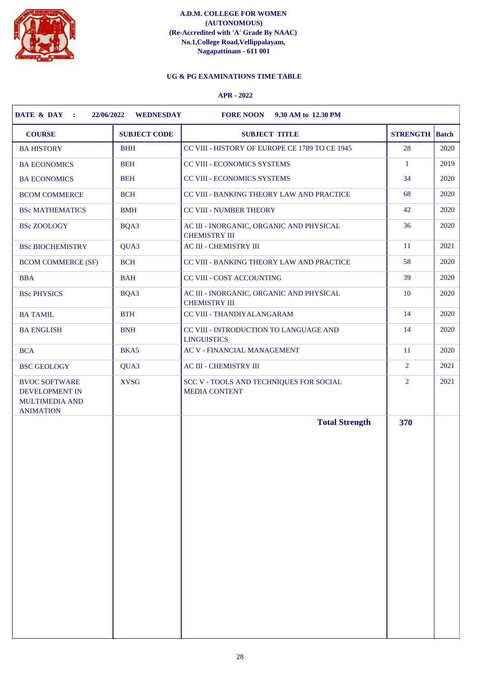

# **UG & PG EXAMINATIONS TIME TABLE**

| <b>COURSE</b><br><b>SUBJECT CODE</b>                                                               | <b>SUBJECT TITLE</b>                                             | <b>STRENGTH</b> Batch |      |
|----------------------------------------------------------------------------------------------------|------------------------------------------------------------------|-----------------------|------|
| <b>BHH</b><br><b>BA HISTORY</b>                                                                    | CC VIII - HISTORY OF EUROPE CE 1789 TO CE 1945                   | 28                    | 2020 |
| <b>BEH</b><br><b>BA ECONOMICS</b>                                                                  | CC VIII - ECONOMICS SYSTEMS                                      | $\mathbf{1}$          | 2019 |
| <b>BEH</b><br><b>BA ECONOMICS</b>                                                                  | CC VIII - ECONOMICS SYSTEMS                                      | 34                    | 2020 |
| <b>BCH</b><br><b>BCOM COMMERCE</b>                                                                 | CC VIII - BANKING THEORY LAW AND PRACTICE                        | 68                    | 2020 |
| <b>BSc MATHEMATICS</b><br><b>BMH</b>                                                               | <b>CC VIII - NUMBER THEORY</b>                                   | 42                    | 2020 |
| BQA3<br><b>BSc ZOOLOGY</b>                                                                         | AC III - INORGANIC, ORGANIC AND PHYSICAL<br><b>CHEMISTRY III</b> | 36                    | 2020 |
| QUA3<br><b>BSc BIOCHEMISTRY</b>                                                                    | <b>AC III - CHEMISTRY III</b>                                    | <sup>11</sup>         | 2021 |
| <b>BCH</b><br><b>BCOM COMMERCE (SF)</b>                                                            | CC VIII - BANKING THEORY LAW AND PRACTICE                        | 58                    | 2020 |
| <b>BBA</b><br><b>BAH</b>                                                                           | CC VIII - COST ACCOUNTING                                        | 39                    | 2020 |
| BQA3<br><b>BSc PHYSICS</b>                                                                         | AC III - INORGANIC, ORGANIC AND PHYSICAL<br><b>CHEMISTRY III</b> | 10                    | 2020 |
| <b>BTH</b><br><b>BA TAMIL</b>                                                                      | CC VIII - THANDIYALANGARAM                                       | 14                    | 2020 |
| <b>BNH</b><br><b>BA ENGLISH</b>                                                                    | CC VIII - INTRODUCTION TO LANGUAGE AND<br><b>LINGUISTICS</b>     | 14                    | 2020 |
| BKA5<br><b>BCA</b>                                                                                 | <b>AC V - FINANCIAL MANAGEMENT</b>                               | <sup>11</sup>         | 2020 |
| <b>BSC GEOLOGY</b><br>QUA3                                                                         | AC III - CHEMISTRY III                                           | 2                     | 2021 |
| <b>XVSG</b><br><b>BVOC SOFTWARE</b><br>DEVELOPMENT IN<br><b>MULTIMEDIA AND</b><br><b>ANIMATION</b> | SCC V - TOOLS AND TECHNIQUES FOR SOCIAL<br><b>MEDIA CONTENT</b>  | $\overline{2}$        | 2021 |
|                                                                                                    | <b>Total Strength</b>                                            | 370                   |      |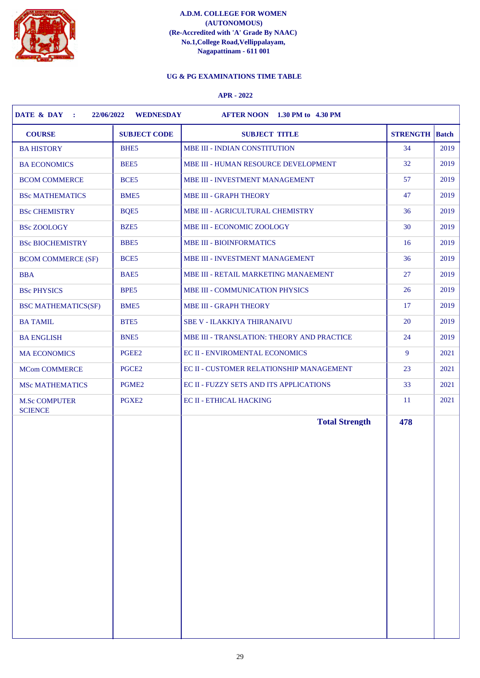

# **UG & PG EXAMINATIONS TIME TABLE**

| <b>COURSE</b>                                   | <b>SUBJECT CODE</b><br><b>SUBJECT TITLE</b> | <b>STRENGTH</b>              | Batch |
|-------------------------------------------------|---------------------------------------------|------------------------------|-------|
| <b>BA HISTORY</b><br>BHE <sub>5</sub>           | MBE III - INDIAN CONSTITUTION               | 34                           | 2019  |
| BEE5<br><b>BA ECONOMICS</b>                     | MBE III - HUMAN RESOURCE DEVELOPMENT        | 32                           | 2019  |
| BCE <sub>5</sub><br><b>BCOM COMMERCE</b>        | MBE III - INVESTMENT MANAGEMENT             | 57                           | 2019  |
| BME5<br><b>BSc MATHEMATICS</b>                  | <b>MBE III - GRAPH THEORY</b>               | 47                           | 2019  |
| <b>BSc CHEMISTRY</b><br>BQE5                    | MBE III - AGRICULTURAL CHEMISTRY            | 36                           | 2019  |
| BZE5<br><b>BSc ZOOLOGY</b>                      | MBE III - ECONOMIC ZOOLOGY                  | 30                           | 2019  |
| BBE5<br><b>BSc BIOCHEMISTRY</b>                 | <b>MBE III - BIOINFORMATICS</b>             | 16                           | 2019  |
| BCE <sub>5</sub><br><b>BCOM COMMERCE (SF)</b>   | MBE III - INVESTMENT MANAGEMENT             | 36                           | 2019  |
| <b>BBA</b><br>BAE5                              | MBE III - RETAIL MARKETING MANAEMENT        | 27                           | 2019  |
| BPE5<br><b>BSc PHYSICS</b>                      | MBE III - COMMUNICATION PHYSICS             | 26                           | 2019  |
| BME5<br><b>BSC MATHEMATICS(SF)</b>              | <b>MBE III - GRAPH THEORY</b>               | 17                           | 2019  |
| BTE5<br><b>BA TAMIL</b>                         | <b>SBE V - ILAKKIYA THIRANAIVU</b>          | 20                           | 2019  |
| BNE <sub>5</sub><br><b>BA ENGLISH</b>           | MBE III - TRANSLATION: THEORY AND PRACTICE  | 24                           | 2019  |
| PGEE2<br><b>MA ECONOMICS</b>                    | EC II - ENVIROMENTAL ECONOMICS              | 9                            | 2021  |
| PGCE <sub>2</sub><br><b>MCom COMMERCE</b>       | EC II - CUSTOMER RELATIONSHIP MANAGEMENT    | 23                           | 2021  |
| PGME <sub>2</sub><br><b>MSc MATHEMATICS</b>     | EC II - FUZZY SETS AND ITS APPLICATIONS     | 33                           | 2021  |
| PGXE2<br><b>M.Sc COMPUTER</b><br><b>SCIENCE</b> | <b>EC II - ETHICAL HACKING</b>              | <sup>11</sup>                | 2021  |
|                                                 |                                             | <b>Total Strength</b><br>478 |       |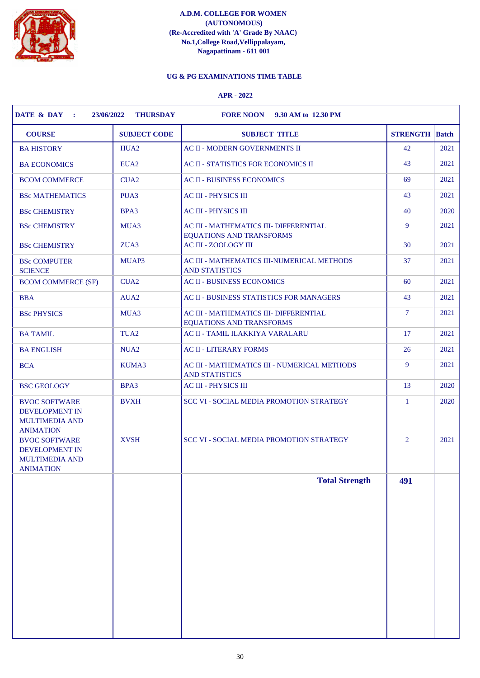

# **UG & PG EXAMINATIONS TIME TABLE**

| <b>COURSE</b>                                                                                                                                                                     | <b>SUBJECT CODE</b>        | <b>SUBJECT TITLE</b>                                                                               | <b>STRENGTH</b> Batch          |              |
|-----------------------------------------------------------------------------------------------------------------------------------------------------------------------------------|----------------------------|----------------------------------------------------------------------------------------------------|--------------------------------|--------------|
| <b>BA HISTORY</b>                                                                                                                                                                 | HUA <sub>2</sub>           | <b>AC II - MODERN GOVERNMENTS II</b>                                                               | 42                             | 2021         |
| <b>BA ECONOMICS</b>                                                                                                                                                               | EUA <sub>2</sub>           | AC II - STATISTICS FOR ECONOMICS II                                                                | 43                             | 2021         |
| <b>BCOM COMMERCE</b>                                                                                                                                                              | CUA <sub>2</sub>           | <b>AC II - BUSINESS ECONOMICS</b>                                                                  | 69                             | 2021         |
| <b>BSc MATHEMATICS</b>                                                                                                                                                            | PUA3                       | <b>AC III - PHYSICS III</b>                                                                        | 43                             | 2021         |
| <b>BSc CHEMISTRY</b>                                                                                                                                                              | BPA3                       | <b>AC III - PHYSICS III</b>                                                                        | 40                             | 2020         |
| <b>BSc CHEMISTRY</b>                                                                                                                                                              | MUA3                       | AC III - MATHEMATICS III- DIFFERENTIAL<br><b>EQUATIONS AND TRANSFORMS</b>                          | 9                              | 2021         |
| <b>BSc CHEMISTRY</b>                                                                                                                                                              | ZUA3                       | <b>AC III - ZOOLOGY III</b>                                                                        | 30                             | 2021         |
| <b>BSc COMPUTER</b><br><b>SCIENCE</b>                                                                                                                                             | MUAP3                      | AC III - MATHEMATICS III-NUMERICAL METHODS<br><b>AND STATISTICS</b>                                | 37                             | 2021         |
| <b>BCOM COMMERCE (SF)</b>                                                                                                                                                         | CUA <sub>2</sub>           | <b>AC II - BUSINESS ECONOMICS</b>                                                                  | 60                             | 2021         |
| <b>BBA</b>                                                                                                                                                                        | AUA <sub>2</sub>           | <b>AC II - BUSINESS STATISTICS FOR MANAGERS</b>                                                    | 43                             | 2021         |
| <b>BSc PHYSICS</b>                                                                                                                                                                | MUA3                       | AC III - MATHEMATICS III- DIFFERENTIAL<br><b>EQUATIONS AND TRANSFORMS</b>                          | $\overline{7}$                 | 2021         |
| <b>BA TAMIL</b>                                                                                                                                                                   | TUA <sub>2</sub>           | AC II - TAMIL ILAKKIYA VARALARU                                                                    | 17                             | 2021         |
| <b>BA ENGLISH</b>                                                                                                                                                                 | NU <sub>A</sub> 2          | <b>AC II - LITERARY FORMS</b>                                                                      | 26                             | 2021         |
| <b>BCA</b>                                                                                                                                                                        | KUMA3                      | AC III - MATHEMATICS III - NUMERICAL METHODS<br><b>AND STATISTICS</b>                              | 9                              | 2021         |
| <b>BSC GEOLOGY</b>                                                                                                                                                                | BPA3                       | <b>AC III - PHYSICS III</b>                                                                        | 13                             | 2020         |
| <b>BVOC SOFTWARE</b><br>DEVELOPMENT IN<br><b>MULTIMEDIA AND</b><br><b>ANIMATION</b><br><b>BVOC SOFTWARE</b><br><b>DEVELOPMENT IN</b><br><b>MULTIMEDIA AND</b><br><b>ANIMATION</b> | <b>BVXH</b><br><b>XVSH</b> | <b>SCC VI - SOCIAL MEDIA PROMOTION STRATEGY</b><br><b>SCC VI - SOCIAL MEDIA PROMOTION STRATEGY</b> | $\mathbf{1}$<br>$\overline{2}$ | 2020<br>2021 |
|                                                                                                                                                                                   |                            | <b>Total Strength</b>                                                                              | 491                            |              |
|                                                                                                                                                                                   |                            |                                                                                                    |                                |              |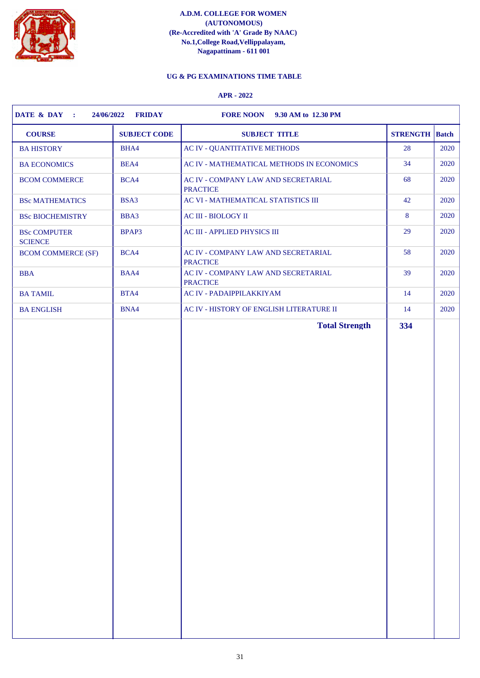

# **UG & PG EXAMINATIONS TIME TABLE**

| <b>COURSE</b><br><b>SUBJECT CODE</b>           | <b>SUBJECT TITLE</b>                                   | <b>STRENGTH</b> Batch |      |
|------------------------------------------------|--------------------------------------------------------|-----------------------|------|
| <b>BA HISTORY</b><br>BHA4                      | <b>AC IV - QUANTITATIVE METHODS</b>                    | 28                    | 2020 |
| BEA4<br><b>BA ECONOMICS</b>                    | AC IV - MATHEMATICAL METHODS IN ECONOMICS              | 34                    | 2020 |
| BCA4<br><b>BCOM COMMERCE</b>                   | AC IV - COMPANY LAW AND SECRETARIAL<br><b>PRACTICE</b> | 68                    | 2020 |
| BSA3<br><b>BSc MATHEMATICS</b>                 | AC VI - MATHEMATICAL STATISTICS III                    | 42                    | 2020 |
| BBA3<br><b>BSc BIOCHEMISTRY</b>                | AC III - BIOLOGY II                                    | 8                     | 2020 |
| BPAP3<br><b>BSc COMPUTER</b><br><b>SCIENCE</b> | AC III - APPLIED PHYSICS III                           | 29                    | 2020 |
| BCA4<br><b>BCOM COMMERCE (SF)</b>              | AC IV - COMPANY LAW AND SECRETARIAL<br><b>PRACTICE</b> | 58                    | 2020 |
| BAA4<br><b>BBA</b>                             | AC IV - COMPANY LAW AND SECRETARIAL<br><b>PRACTICE</b> | 39                    | 2020 |
| BTA4<br><b>BA TAMIL</b>                        | <b>AC IV - PADAIPPILAKKIYAM</b>                        | 14                    | 2020 |
| BNA4<br><b>BA ENGLISH</b>                      | AC IV - HISTORY OF ENGLISH LITERATURE II               | 14                    | 2020 |
|                                                |                                                        |                       |      |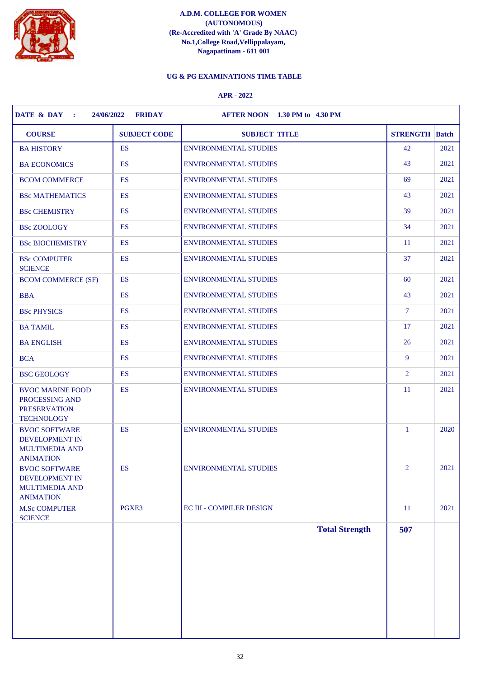

# **UG & PG EXAMINATIONS TIME TABLE**

| <b>COURSE</b>                                                                         | <b>SUBJECT CODE</b> | <b>SUBJECT TITLE</b>            | <b>STRENGTH</b>             | <b>Batch</b> |
|---------------------------------------------------------------------------------------|---------------------|---------------------------------|-----------------------------|--------------|
| <b>BA HISTORY</b>                                                                     | <b>ES</b>           | <b>ENVIRONMENTAL STUDIES</b>    | 42                          | 2021         |
| <b>BA ECONOMICS</b>                                                                   | <b>ES</b>           | <b>ENVIRONMENTAL STUDIES</b>    | 43                          | 2021         |
| <b>BCOM COMMERCE</b>                                                                  | <b>ES</b>           | <b>ENVIRONMENTAL STUDIES</b>    | 69                          | 2021         |
| <b>BSc MATHEMATICS</b>                                                                | <b>ES</b>           | <b>ENVIRONMENTAL STUDIES</b>    | 43                          | 2021         |
| <b>BSc CHEMISTRY</b>                                                                  | <b>ES</b>           | <b>ENVIRONMENTAL STUDIES</b>    | 39                          | 2021         |
| <b>BSc ZOOLOGY</b>                                                                    | <b>ES</b>           | <b>ENVIRONMENTAL STUDIES</b>    | 34                          | 2021         |
| <b>BSc BIOCHEMISTRY</b>                                                               | <b>ES</b>           | <b>ENVIRONMENTAL STUDIES</b>    | <sup>11</sup>               | 2021         |
| <b>BSc COMPUTER</b><br><b>SCIENCE</b>                                                 | <b>ES</b>           | <b>ENVIRONMENTAL STUDIES</b>    | 37                          | 2021         |
| <b>BCOM COMMERCE (SF)</b>                                                             | <b>ES</b>           | <b>ENVIRONMENTAL STUDIES</b>    | 60                          | 2021         |
| <b>BBA</b>                                                                            | ES                  | <b>ENVIRONMENTAL STUDIES</b>    | 43                          | 2021         |
| <b>BSc PHYSICS</b>                                                                    | <b>ES</b>           | <b>ENVIRONMENTAL STUDIES</b>    | $\overline{7}$              | 2021         |
| <b>BA TAMIL</b>                                                                       | ES                  | <b>ENVIRONMENTAL STUDIES</b>    | 17                          | 2021         |
| <b>BA ENGLISH</b>                                                                     | <b>ES</b>           | <b>ENVIRONMENTAL STUDIES</b>    | 26                          | 2021         |
| <b>BCA</b>                                                                            | <b>ES</b>           | <b>ENVIRONMENTAL STUDIES</b>    | 9                           | 2021         |
| <b>BSC GEOLOGY</b>                                                                    | ES                  | <b>ENVIRONMENTAL STUDIES</b>    | $\overline{2}$              | 2021         |
| <b>BVOC MARINE FOOD</b><br>PROCESSING AND<br><b>PRESERVATION</b><br><b>TECHNOLOGY</b> | ES                  | <b>ENVIRONMENTAL STUDIES</b>    | <sup>11</sup>               | 2021         |
| <b>BVOC SOFTWARE</b><br>DEVELOPMENT IN<br><b>MULTIMEDIA AND</b><br><b>ANIMATION</b>   | <b>ES</b>           | <b>ENVIRONMENTAL STUDIES</b>    | $\mathbf{1}$                | 2020         |
| <b>BVOC SOFTWARE</b><br>DEVELOPMENT IN<br><b>MULTIMEDIA AND</b><br><b>ANIMATION</b>   | <b>ES</b>           | <b>ENVIRONMENTAL STUDIES</b>    | $\mathcal{D}_{\mathcal{L}}$ | 2021         |
| <b>M.Sc COMPUTER</b>                                                                  | PGXE3               | <b>EC III - COMPILER DESIGN</b> | <sup>11</sup>               | 2021         |
| <b>SCIENCE</b>                                                                        |                     | <b>Total Strength</b>           | 507                         |              |
|                                                                                       |                     |                                 |                             |              |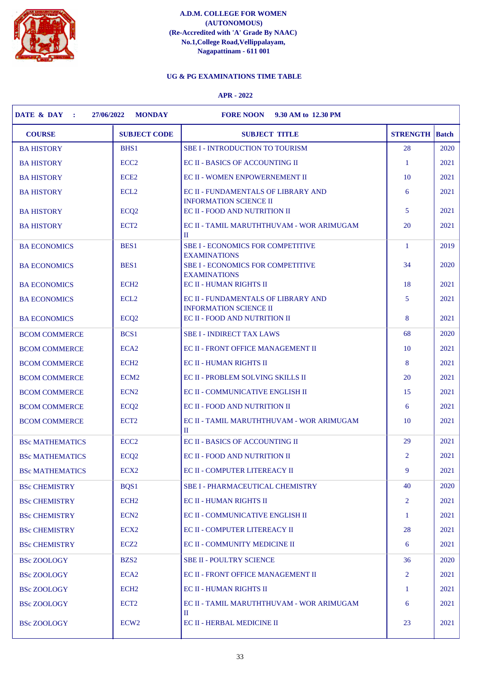

# **UG & PG EXAMINATIONS TIME TABLE**

| <b>COURSE</b><br><b>SUBJECT CODE</b><br><b>SUBJECT TITLE</b><br><b>STRENGTH</b><br>28<br><b>BHS1</b><br><b>SBE I - INTRODUCTION TO TOURISM</b><br><b>BA HISTORY</b><br>ECC <sub>2</sub><br><b>EC II - BASICS OF ACCOUNTING II</b><br>$\mathbf{1}$<br><b>BA HISTORY</b><br>ECE <sub>2</sub><br>10<br>EC II - WOMEN ENPOWERNEMENT II<br><b>BA HISTORY</b><br>6<br>ECL <sub>2</sub><br><b>BA HISTORY</b><br>EC II - FUNDAMENTALS OF LIBRARY AND<br><b>INFORMATION SCIENCE II</b><br>ECQ <sub>2</sub><br><b>EC II - FOOD AND NUTRITION II</b><br>5<br><b>BA HISTORY</b><br>ECT <sub>2</sub><br>EC II - TAMIL MARUTHTHUVAM - WOR ARIMUGAM<br>20<br><b>BA HISTORY</b><br>П<br>BES1<br><b>SBE I - ECONOMICS FOR COMPETITIVE</b><br>$\mathbf{1}$<br><b>BA ECONOMICS</b><br><b>EXAMINATIONS</b><br>BES1<br>34<br><b>SBE I - ECONOMICS FOR COMPETITIVE</b><br><b>BA ECONOMICS</b><br><b>EXAMINATIONS</b><br>ECH <sub>2</sub><br><b>EC II - HUMAN RIGHTS II</b><br>18<br><b>BA ECONOMICS</b><br>ECL <sub>2</sub><br>EC II - FUNDAMENTALS OF LIBRARY AND<br>5<br><b>BA ECONOMICS</b><br><b>INFORMATION SCIENCE II</b><br>8<br>ECQ <sub>2</sub><br><b>EC II - FOOD AND NUTRITION II</b><br><b>BA ECONOMICS</b><br>68<br>BCS1<br><b>SBE I - INDIRECT TAX LAWS</b><br><b>BCOM COMMERCE</b><br>10<br>ECA <sub>2</sub><br><b>EC II - FRONT OFFICE MANAGEMENT II</b><br><b>BCOM COMMERCE</b><br>ECH <sub>2</sub><br>8<br><b>EC II - HUMAN RIGHTS II</b><br><b>BCOM COMMERCE</b><br>ECM <sub>2</sub><br>20<br>EC II - PROBLEM SOLVING SKILLS II<br><b>BCOM COMMERCE</b><br>15<br>ECN <sub>2</sub><br>EC II - COMMUNICATIVE ENGLISH II<br><b>BCOM COMMERCE</b><br>ECQ <sub>2</sub><br>EC II - FOOD AND NUTRITION II<br>6<br><b>BCOM COMMERCE</b><br>ECT <sub>2</sub><br>10<br><b>BCOM COMMERCE</b><br>EC II - TAMIL MARUTHTHUVAM - WOR ARIMUGAM<br>H<br>29<br>ECC <sub>2</sub><br>EC II - BASICS OF ACCOUNTING II<br><b>BSc MATHEMATICS</b> | <b>Batch</b><br>2020<br>2021<br>2021<br>2021<br>2021<br>2021<br>2019<br>2020<br>2021<br>2021<br>2021 |
|-------------------------------------------------------------------------------------------------------------------------------------------------------------------------------------------------------------------------------------------------------------------------------------------------------------------------------------------------------------------------------------------------------------------------------------------------------------------------------------------------------------------------------------------------------------------------------------------------------------------------------------------------------------------------------------------------------------------------------------------------------------------------------------------------------------------------------------------------------------------------------------------------------------------------------------------------------------------------------------------------------------------------------------------------------------------------------------------------------------------------------------------------------------------------------------------------------------------------------------------------------------------------------------------------------------------------------------------------------------------------------------------------------------------------------------------------------------------------------------------------------------------------------------------------------------------------------------------------------------------------------------------------------------------------------------------------------------------------------------------------------------------------------------------------------------------------------------------------------------------------------------------------------------------------|------------------------------------------------------------------------------------------------------|
|                                                                                                                                                                                                                                                                                                                                                                                                                                                                                                                                                                                                                                                                                                                                                                                                                                                                                                                                                                                                                                                                                                                                                                                                                                                                                                                                                                                                                                                                                                                                                                                                                                                                                                                                                                                                                                                                                                                         |                                                                                                      |
|                                                                                                                                                                                                                                                                                                                                                                                                                                                                                                                                                                                                                                                                                                                                                                                                                                                                                                                                                                                                                                                                                                                                                                                                                                                                                                                                                                                                                                                                                                                                                                                                                                                                                                                                                                                                                                                                                                                         |                                                                                                      |
|                                                                                                                                                                                                                                                                                                                                                                                                                                                                                                                                                                                                                                                                                                                                                                                                                                                                                                                                                                                                                                                                                                                                                                                                                                                                                                                                                                                                                                                                                                                                                                                                                                                                                                                                                                                                                                                                                                                         |                                                                                                      |
|                                                                                                                                                                                                                                                                                                                                                                                                                                                                                                                                                                                                                                                                                                                                                                                                                                                                                                                                                                                                                                                                                                                                                                                                                                                                                                                                                                                                                                                                                                                                                                                                                                                                                                                                                                                                                                                                                                                         |                                                                                                      |
|                                                                                                                                                                                                                                                                                                                                                                                                                                                                                                                                                                                                                                                                                                                                                                                                                                                                                                                                                                                                                                                                                                                                                                                                                                                                                                                                                                                                                                                                                                                                                                                                                                                                                                                                                                                                                                                                                                                         |                                                                                                      |
|                                                                                                                                                                                                                                                                                                                                                                                                                                                                                                                                                                                                                                                                                                                                                                                                                                                                                                                                                                                                                                                                                                                                                                                                                                                                                                                                                                                                                                                                                                                                                                                                                                                                                                                                                                                                                                                                                                                         |                                                                                                      |
|                                                                                                                                                                                                                                                                                                                                                                                                                                                                                                                                                                                                                                                                                                                                                                                                                                                                                                                                                                                                                                                                                                                                                                                                                                                                                                                                                                                                                                                                                                                                                                                                                                                                                                                                                                                                                                                                                                                         |                                                                                                      |
|                                                                                                                                                                                                                                                                                                                                                                                                                                                                                                                                                                                                                                                                                                                                                                                                                                                                                                                                                                                                                                                                                                                                                                                                                                                                                                                                                                                                                                                                                                                                                                                                                                                                                                                                                                                                                                                                                                                         |                                                                                                      |
|                                                                                                                                                                                                                                                                                                                                                                                                                                                                                                                                                                                                                                                                                                                                                                                                                                                                                                                                                                                                                                                                                                                                                                                                                                                                                                                                                                                                                                                                                                                                                                                                                                                                                                                                                                                                                                                                                                                         |                                                                                                      |
|                                                                                                                                                                                                                                                                                                                                                                                                                                                                                                                                                                                                                                                                                                                                                                                                                                                                                                                                                                                                                                                                                                                                                                                                                                                                                                                                                                                                                                                                                                                                                                                                                                                                                                                                                                                                                                                                                                                         |                                                                                                      |
|                                                                                                                                                                                                                                                                                                                                                                                                                                                                                                                                                                                                                                                                                                                                                                                                                                                                                                                                                                                                                                                                                                                                                                                                                                                                                                                                                                                                                                                                                                                                                                                                                                                                                                                                                                                                                                                                                                                         |                                                                                                      |
|                                                                                                                                                                                                                                                                                                                                                                                                                                                                                                                                                                                                                                                                                                                                                                                                                                                                                                                                                                                                                                                                                                                                                                                                                                                                                                                                                                                                                                                                                                                                                                                                                                                                                                                                                                                                                                                                                                                         |                                                                                                      |
|                                                                                                                                                                                                                                                                                                                                                                                                                                                                                                                                                                                                                                                                                                                                                                                                                                                                                                                                                                                                                                                                                                                                                                                                                                                                                                                                                                                                                                                                                                                                                                                                                                                                                                                                                                                                                                                                                                                         | 2020                                                                                                 |
|                                                                                                                                                                                                                                                                                                                                                                                                                                                                                                                                                                                                                                                                                                                                                                                                                                                                                                                                                                                                                                                                                                                                                                                                                                                                                                                                                                                                                                                                                                                                                                                                                                                                                                                                                                                                                                                                                                                         | 2021                                                                                                 |
|                                                                                                                                                                                                                                                                                                                                                                                                                                                                                                                                                                                                                                                                                                                                                                                                                                                                                                                                                                                                                                                                                                                                                                                                                                                                                                                                                                                                                                                                                                                                                                                                                                                                                                                                                                                                                                                                                                                         | 2021                                                                                                 |
|                                                                                                                                                                                                                                                                                                                                                                                                                                                                                                                                                                                                                                                                                                                                                                                                                                                                                                                                                                                                                                                                                                                                                                                                                                                                                                                                                                                                                                                                                                                                                                                                                                                                                                                                                                                                                                                                                                                         | 2021                                                                                                 |
|                                                                                                                                                                                                                                                                                                                                                                                                                                                                                                                                                                                                                                                                                                                                                                                                                                                                                                                                                                                                                                                                                                                                                                                                                                                                                                                                                                                                                                                                                                                                                                                                                                                                                                                                                                                                                                                                                                                         | 2021                                                                                                 |
|                                                                                                                                                                                                                                                                                                                                                                                                                                                                                                                                                                                                                                                                                                                                                                                                                                                                                                                                                                                                                                                                                                                                                                                                                                                                                                                                                                                                                                                                                                                                                                                                                                                                                                                                                                                                                                                                                                                         | 2021                                                                                                 |
|                                                                                                                                                                                                                                                                                                                                                                                                                                                                                                                                                                                                                                                                                                                                                                                                                                                                                                                                                                                                                                                                                                                                                                                                                                                                                                                                                                                                                                                                                                                                                                                                                                                                                                                                                                                                                                                                                                                         | 2021                                                                                                 |
|                                                                                                                                                                                                                                                                                                                                                                                                                                                                                                                                                                                                                                                                                                                                                                                                                                                                                                                                                                                                                                                                                                                                                                                                                                                                                                                                                                                                                                                                                                                                                                                                                                                                                                                                                                                                                                                                                                                         | 2021                                                                                                 |
| 2<br>ECQ <sub>2</sub><br>EC II - FOOD AND NUTRITION II<br><b>BSc MATHEMATICS</b>                                                                                                                                                                                                                                                                                                                                                                                                                                                                                                                                                                                                                                                                                                                                                                                                                                                                                                                                                                                                                                                                                                                                                                                                                                                                                                                                                                                                                                                                                                                                                                                                                                                                                                                                                                                                                                        | 2021                                                                                                 |
| ECX <sub>2</sub><br>EC II - COMPUTER LITEREACY II<br>9<br><b>BSc MATHEMATICS</b>                                                                                                                                                                                                                                                                                                                                                                                                                                                                                                                                                                                                                                                                                                                                                                                                                                                                                                                                                                                                                                                                                                                                                                                                                                                                                                                                                                                                                                                                                                                                                                                                                                                                                                                                                                                                                                        | 2021                                                                                                 |
| 40<br>BQS1<br><b>SBE I - PHARMACEUTICAL CHEMISTRY</b><br><b>BSc CHEMISTRY</b>                                                                                                                                                                                                                                                                                                                                                                                                                                                                                                                                                                                                                                                                                                                                                                                                                                                                                                                                                                                                                                                                                                                                                                                                                                                                                                                                                                                                                                                                                                                                                                                                                                                                                                                                                                                                                                           | 2020                                                                                                 |
| ECH <sub>2</sub><br>EC II - HUMAN RIGHTS II<br>2<br><b>BSc CHEMISTRY</b>                                                                                                                                                                                                                                                                                                                                                                                                                                                                                                                                                                                                                                                                                                                                                                                                                                                                                                                                                                                                                                                                                                                                                                                                                                                                                                                                                                                                                                                                                                                                                                                                                                                                                                                                                                                                                                                | 2021                                                                                                 |
| <b>EC II - COMMUNICATIVE ENGLISH II</b><br><b>BSc CHEMISTRY</b><br>ECN <sub>2</sub><br>-1                                                                                                                                                                                                                                                                                                                                                                                                                                                                                                                                                                                                                                                                                                                                                                                                                                                                                                                                                                                                                                                                                                                                                                                                                                                                                                                                                                                                                                                                                                                                                                                                                                                                                                                                                                                                                               | 2021                                                                                                 |
| <b>EC II - COMPUTER LITEREACY II</b><br>28<br><b>BSc CHEMISTRY</b><br>ECX <sub>2</sub>                                                                                                                                                                                                                                                                                                                                                                                                                                                                                                                                                                                                                                                                                                                                                                                                                                                                                                                                                                                                                                                                                                                                                                                                                                                                                                                                                                                                                                                                                                                                                                                                                                                                                                                                                                                                                                  | 2021                                                                                                 |
| ECZ <sub>2</sub><br>EC II - COMMUNITY MEDICINE II<br><b>BSc CHEMISTRY</b><br>6                                                                                                                                                                                                                                                                                                                                                                                                                                                                                                                                                                                                                                                                                                                                                                                                                                                                                                                                                                                                                                                                                                                                                                                                                                                                                                                                                                                                                                                                                                                                                                                                                                                                                                                                                                                                                                          | 2021                                                                                                 |
| BZS <sub>2</sub><br><b>SBE II - POULTRY SCIENCE</b><br><b>BSc ZOOLOGY</b><br>36                                                                                                                                                                                                                                                                                                                                                                                                                                                                                                                                                                                                                                                                                                                                                                                                                                                                                                                                                                                                                                                                                                                                                                                                                                                                                                                                                                                                                                                                                                                                                                                                                                                                                                                                                                                                                                         | 2020                                                                                                 |
| <b>EC II - FRONT OFFICE MANAGEMENT II</b><br><b>BSc ZOOLOGY</b><br>ECA <sub>2</sub><br>2                                                                                                                                                                                                                                                                                                                                                                                                                                                                                                                                                                                                                                                                                                                                                                                                                                                                                                                                                                                                                                                                                                                                                                                                                                                                                                                                                                                                                                                                                                                                                                                                                                                                                                                                                                                                                                | 2021                                                                                                 |
| ECH <sub>2</sub><br>EC II - HUMAN RIGHTS II<br><b>BSc ZOOLOGY</b><br>1                                                                                                                                                                                                                                                                                                                                                                                                                                                                                                                                                                                                                                                                                                                                                                                                                                                                                                                                                                                                                                                                                                                                                                                                                                                                                                                                                                                                                                                                                                                                                                                                                                                                                                                                                                                                                                                  | 2021                                                                                                 |
| ECT <sub>2</sub><br>EC II - TAMIL MARUTHTHUVAM - WOR ARIMUGAM<br><b>BSc ZOOLOGY</b><br>6                                                                                                                                                                                                                                                                                                                                                                                                                                                                                                                                                                                                                                                                                                                                                                                                                                                                                                                                                                                                                                                                                                                                                                                                                                                                                                                                                                                                                                                                                                                                                                                                                                                                                                                                                                                                                                | 2021                                                                                                 |
| П<br>ECW <sub>2</sub><br><b>EC II - HERBAL MEDICINE II</b><br>23<br><b>BSc ZOOLOGY</b>                                                                                                                                                                                                                                                                                                                                                                                                                                                                                                                                                                                                                                                                                                                                                                                                                                                                                                                                                                                                                                                                                                                                                                                                                                                                                                                                                                                                                                                                                                                                                                                                                                                                                                                                                                                                                                  |                                                                                                      |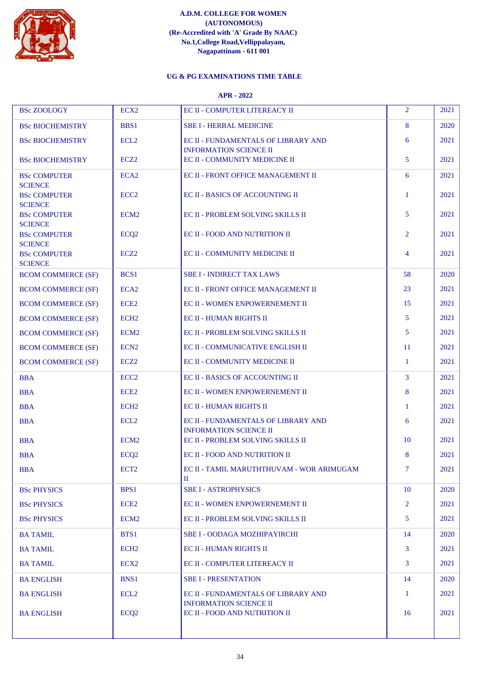

# **UG & PG EXAMINATIONS TIME TABLE**

| <b>BSc ZOOLOGY</b>                    | ECX <sub>2</sub> | EC II - COMPUTER LITEREACY II                                        | $\overline{2}$ | 2021 |
|---------------------------------------|------------------|----------------------------------------------------------------------|----------------|------|
| <b>BSc BIOCHEMISTRY</b>               | <b>BBS1</b>      | <b>SBE I - HERBAL MEDICINE</b>                                       | 8              | 2020 |
| <b>BSc BIOCHEMISTRY</b>               | ECL <sub>2</sub> | EC II - FUNDAMENTALS OF LIBRARY AND                                  | 6              | 2021 |
| <b>BSc BIOCHEMISTRY</b>               | ECZ <sub>2</sub> | <b>INFORMATION SCIENCE II</b><br>EC II - COMMUNITY MEDICINE II       | 5              | 2021 |
| <b>BSc COMPUTER</b>                   | ECA <sub>2</sub> | EC II - FRONT OFFICE MANAGEMENT II                                   | 6              | 2021 |
| <b>SCIENCE</b>                        |                  |                                                                      |                |      |
| <b>BSc COMPUTER</b><br><b>SCIENCE</b> | ECC <sub>2</sub> | EC II - BASICS OF ACCOUNTING II                                      | $\mathbf{1}$   | 2021 |
| <b>BSc COMPUTER</b><br><b>SCIENCE</b> | ECM <sub>2</sub> | EC II - PROBLEM SOLVING SKILLS II                                    | 5              | 2021 |
| <b>BSc COMPUTER</b><br><b>SCIENCE</b> | ECQ <sub>2</sub> | EC II - FOOD AND NUTRITION II                                        | $\overline{2}$ | 2021 |
| <b>BSc COMPUTER</b><br><b>SCIENCE</b> | ECZ <sub>2</sub> | EC II - COMMUNITY MEDICINE II                                        | 4              | 2021 |
| <b>BCOM COMMERCE (SF)</b>             | BCS <sub>1</sub> | <b>SBE I - INDIRECT TAX LAWS</b>                                     | 58             | 2020 |
| <b>BCOM COMMERCE (SF)</b>             | ECA <sub>2</sub> | EC II - FRONT OFFICE MANAGEMENT II                                   | 23             | 2021 |
| <b>BCOM COMMERCE (SF)</b>             | ECE <sub>2</sub> | <b>EC II - WOMEN ENPOWERNEMENT II</b>                                | 15             | 2021 |
| <b>BCOM COMMERCE (SF)</b>             | ECH <sub>2</sub> | <b>EC II - HUMAN RIGHTS II</b>                                       | 5              | 2021 |
| <b>BCOM COMMERCE (SF)</b>             | ECM <sub>2</sub> | EC II - PROBLEM SOLVING SKILLS II                                    | 5              | 2021 |
| <b>BCOM COMMERCE (SF)</b>             | ECN <sub>2</sub> | EC II - COMMUNICATIVE ENGLISH II                                     | 11             | 2021 |
| <b>BCOM COMMERCE (SF)</b>             | ECZ <sub>2</sub> | EC II - COMMUNITY MEDICINE II                                        | 1              | 2021 |
| <b>BBA</b>                            | ECC <sub>2</sub> | <b>EC II - BASICS OF ACCOUNTING II</b>                               | 3              | 2021 |
| <b>BBA</b>                            | ECE <sub>2</sub> | EC II - WOMEN ENPOWERNEMENT II                                       | 8              | 2021 |
| <b>BBA</b>                            | ECH <sub>2</sub> | EC II - HUMAN RIGHTS II                                              | 1              | 2021 |
| <b>BBA</b>                            | ECL <sub>2</sub> | EC II - FUNDAMENTALS OF LIBRARY AND<br><b>INFORMATION SCIENCE II</b> | 6              | 2021 |
| <b>BBA</b>                            | ECM <sub>2</sub> | EC II - PROBLEM SOLVING SKILLS II                                    | 10             | 2021 |
| <b>BBA</b>                            | ECQ <sub>2</sub> | <b>EC II - FOOD AND NUTRITION II</b>                                 | 8              | 2021 |
| <b>BBA</b>                            | ECT <sub>2</sub> | EC II - TAMIL MARUTHTHUVAM - WOR ARIMUGAM<br>П                       | $\tau$         | 2021 |
| <b>BSc PHYSICS</b>                    | BPS1             | <b>SBE I - ASTROPHYSICS</b>                                          | 10             | 2020 |
| <b>BSc PHYSICS</b>                    | ECE <sub>2</sub> | <b>EC II - WOMEN ENPOWERNEMENT II</b>                                | $\overline{2}$ | 2021 |
| <b>BSc PHYSICS</b>                    | ECM <sub>2</sub> | EC II - PROBLEM SOLVING SKILLS II                                    | 5              | 2021 |
| <b>BA TAMIL</b>                       | BTS1             | <b>SBE I - OODAGA MOZHIPAYIRCHI</b>                                  | 14             | 2020 |
| <b>BA TAMIL</b>                       | ECH <sub>2</sub> | <b>EC II - HUMAN RIGHTS II</b>                                       | 3              | 2021 |
| <b>BA TAMIL</b>                       | ECX <sub>2</sub> | <b>EC II - COMPUTER LITEREACY II</b>                                 | 3              | 2021 |
| <b>BA ENGLISH</b>                     | <b>BNS1</b>      | <b>SBE I - PRESENTATION</b>                                          | 14             | 2020 |
| <b>BA ENGLISH</b>                     | ECL <sub>2</sub> | EC II - FUNDAMENTALS OF LIBRARY AND                                  | -1             | 2021 |
| <b>BA ENGLISH</b>                     | ECQ <sub>2</sub> | <b>INFORMATION SCIENCE II</b><br>EC II - FOOD AND NUTRITION II       | 16             | 2021 |
|                                       |                  |                                                                      |                |      |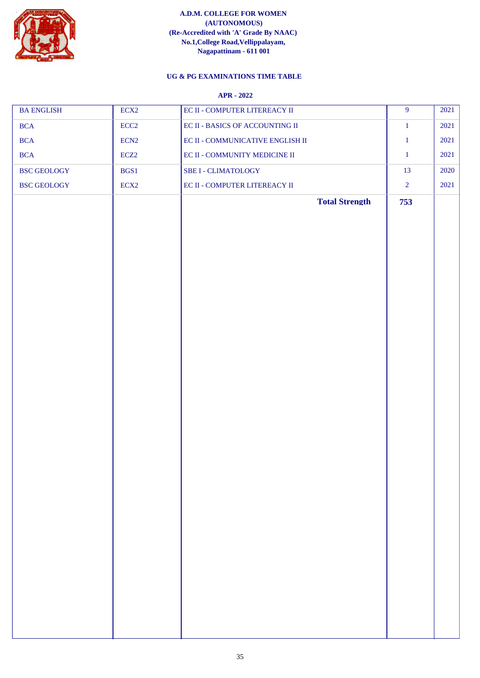

# **UG & PG EXAMINATIONS TIME TABLE**

| <b>BA ENGLISH</b>  | ECX <sub>2</sub> | EC II - COMPUTER LITEREACY II    | $\overline{9}$ | 2021 |
|--------------------|------------------|----------------------------------|----------------|------|
| <b>BCA</b>         | ECC2             | EC II - BASICS OF ACCOUNTING II  | $1\,$          | 2021 |
| <b>BCA</b>         | ECN <sub>2</sub> | EC II - COMMUNICATIVE ENGLISH II | $\mathbf{1}$   | 2021 |
| <b>BCA</b>         | ECZ <sub>2</sub> | EC II - COMMUNITY MEDICINE II    | $\mathbf{1}$   | 2021 |
| <b>BSC GEOLOGY</b> | BGS1             | <b>SBE I - CLIMATOLOGY</b>       | 13             | 2020 |
| BSC GEOLOGY        | ECX <sub>2</sub> | EC II - COMPUTER LITEREACY II    | $\overline{2}$ | 2021 |
|                    |                  | <b>Total Strength</b>            | 753            |      |
|                    |                  |                                  |                |      |
|                    |                  |                                  |                |      |
|                    |                  |                                  |                |      |
|                    |                  |                                  |                |      |
|                    |                  |                                  |                |      |
|                    |                  |                                  |                |      |
|                    |                  |                                  |                |      |
|                    |                  |                                  |                |      |
|                    |                  |                                  |                |      |
|                    |                  |                                  |                |      |
|                    |                  |                                  |                |      |
|                    |                  |                                  |                |      |
|                    |                  |                                  |                |      |
|                    |                  |                                  |                |      |
|                    |                  |                                  |                |      |
|                    |                  |                                  |                |      |
|                    |                  |                                  |                |      |
|                    |                  |                                  |                |      |
|                    |                  |                                  |                |      |
|                    |                  |                                  |                |      |
|                    |                  |                                  |                |      |
|                    |                  |                                  |                |      |
|                    |                  |                                  |                |      |
|                    |                  |                                  |                |      |
|                    |                  |                                  |                |      |
|                    |                  |                                  |                |      |
|                    |                  |                                  |                |      |
|                    |                  |                                  |                |      |
|                    |                  |                                  |                |      |
|                    |                  |                                  |                |      |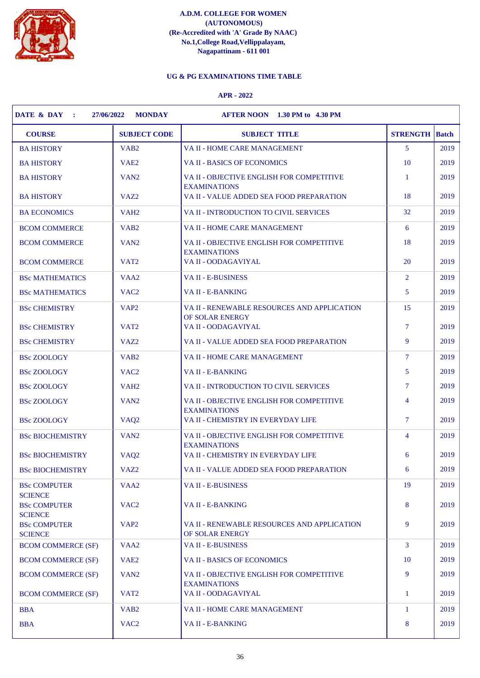

# **UG & PG EXAMINATIONS TIME TABLE**

| <b>COURSE</b>                         | <b>SUBJECT CODE</b> | <b>SUBJECT TITLE</b>                                             | <b>STRENGTH</b> Batch |      |
|---------------------------------------|---------------------|------------------------------------------------------------------|-----------------------|------|
| <b>BA HISTORY</b>                     | VAB <sub>2</sub>    | VA II - HOME CARE MANAGEMENT                                     | 5                     | 2019 |
| <b>BA HISTORY</b>                     | VAE <sub>2</sub>    | VA II - BASICS OF ECONOMICS                                      | 10                    | 2019 |
| <b>BA HISTORY</b>                     | VAN <sub>2</sub>    | VA II - OBJECTIVE ENGLISH FOR COMPETITIVE<br><b>EXAMINATIONS</b> | 1                     | 2019 |
| <b>BA HISTORY</b>                     | VAZ <sub>2</sub>    | VA II - VALUE ADDED SEA FOOD PREPARATION                         | 18                    | 2019 |
| <b>BA ECONOMICS</b>                   | VAH <sub>2</sub>    | VA II - INTRODUCTION TO CIVIL SERVICES                           | 32                    | 2019 |
| <b>BCOM COMMERCE</b>                  | VAB <sub>2</sub>    | VA II - HOME CARE MANAGEMENT                                     | 6                     | 2019 |
| <b>BCOM COMMERCE</b>                  | VAN <sub>2</sub>    | VA II - OBJECTIVE ENGLISH FOR COMPETITIVE<br><b>EXAMINATIONS</b> | 18                    | 2019 |
| <b>BCOM COMMERCE</b>                  | VAT <sub>2</sub>    | VA II - OODAGAVIYAL                                              | 20                    | 2019 |
| <b>BSc MATHEMATICS</b>                | VAA <sub>2</sub>    | VA II - E-BUSINESS                                               | $\overline{2}$        | 2019 |
| <b>BSc MATHEMATICS</b>                | VAC <sub>2</sub>    | <b>VAII - E-BANKING</b>                                          | 5                     | 2019 |
| <b>BSc CHEMISTRY</b>                  | VAP <sub>2</sub>    | VA II - RENEWABLE RESOURCES AND APPLICATION<br>OF SOLAR ENERGY   | 15                    | 2019 |
| <b>BSc CHEMISTRY</b>                  | VAT <sub>2</sub>    | VA II - OODAGAVIYAL                                              | $\tau$                | 2019 |
| <b>BSc CHEMISTRY</b>                  | VAZ <sub>2</sub>    | VA II - VALUE ADDED SEA FOOD PREPARATION                         | 9                     | 2019 |
| <b>BSc ZOOLOGY</b>                    | VAB <sub>2</sub>    | VA II - HOME CARE MANAGEMENT                                     | $\tau$                | 2019 |
| <b>BSc ZOOLOGY</b>                    | VAC <sub>2</sub>    | VA II - E-BANKING                                                | 5                     | 2019 |
| <b>BSc ZOOLOGY</b>                    | VAH <sub>2</sub>    | VA II - INTRODUCTION TO CIVIL SERVICES                           | 7                     | 2019 |
| <b>BSc ZOOLOGY</b>                    | VAN <sub>2</sub>    | VA II - OBJECTIVE ENGLISH FOR COMPETITIVE<br><b>EXAMINATIONS</b> | $\overline{4}$        | 2019 |
| <b>BSc ZOOLOGY</b>                    | VAQ <sub>2</sub>    | VA II - CHEMISTRY IN EVERYDAY LIFE                               | 7                     | 2019 |
| <b>BSc BIOCHEMISTRY</b>               | VAN <sub>2</sub>    | VA II - OBJECTIVE ENGLISH FOR COMPETITIVE<br><b>EXAMINATIONS</b> | $\overline{4}$        | 2019 |
| <b>BSc BIOCHEMISTRY</b>               | VAQ <sub>2</sub>    | VA II - CHEMISTRY IN EVERYDAY LIFE                               | 6                     | 2019 |
| <b>BSc BIOCHEMISTRY</b>               | VAZ <sub>2</sub>    | VA II - VALUE ADDED SEA FOOD PREPARATION                         | 6                     | 2019 |
| <b>BSc COMPUTER</b><br><b>SCIENCE</b> | VAA <sub>2</sub>    | <b>VAII - E-BUSINESS</b>                                         | 19                    | 2019 |
| <b>BSc COMPUTER</b><br><b>SCIENCE</b> | VAC <sub>2</sub>    | VA II - E-BANKING                                                | 8                     | 2019 |
| <b>BSc COMPUTER</b><br><b>SCIENCE</b> | VAP <sub>2</sub>    | VA II - RENEWABLE RESOURCES AND APPLICATION<br>OF SOLAR ENERGY   | 9                     | 2019 |
| <b>BCOM COMMERCE (SF)</b>             | VAA <sub>2</sub>    | <b>VAII - E-BUSINESS</b>                                         | 3                     | 2019 |
| <b>BCOM COMMERCE (SF)</b>             | VAE <sub>2</sub>    | <b>VAII - BASICS OF ECONOMICS</b>                                | 10                    | 2019 |
| <b>BCOM COMMERCE (SF)</b>             | VAN <sub>2</sub>    | VA II - OBJECTIVE ENGLISH FOR COMPETITIVE<br><b>EXAMINATIONS</b> | 9                     | 2019 |
| <b>BCOM COMMERCE (SF)</b>             | VAT <sub>2</sub>    | VA II - OODAGAVIYAL                                              | -1                    | 2019 |
| <b>BBA</b>                            | VAB <sub>2</sub>    | VA II - HOME CARE MANAGEMENT                                     | -1                    | 2019 |
| <b>BBA</b>                            | VAC <sub>2</sub>    | VA II - E-BANKING                                                | 8                     | 2019 |
|                                       |                     |                                                                  |                       |      |